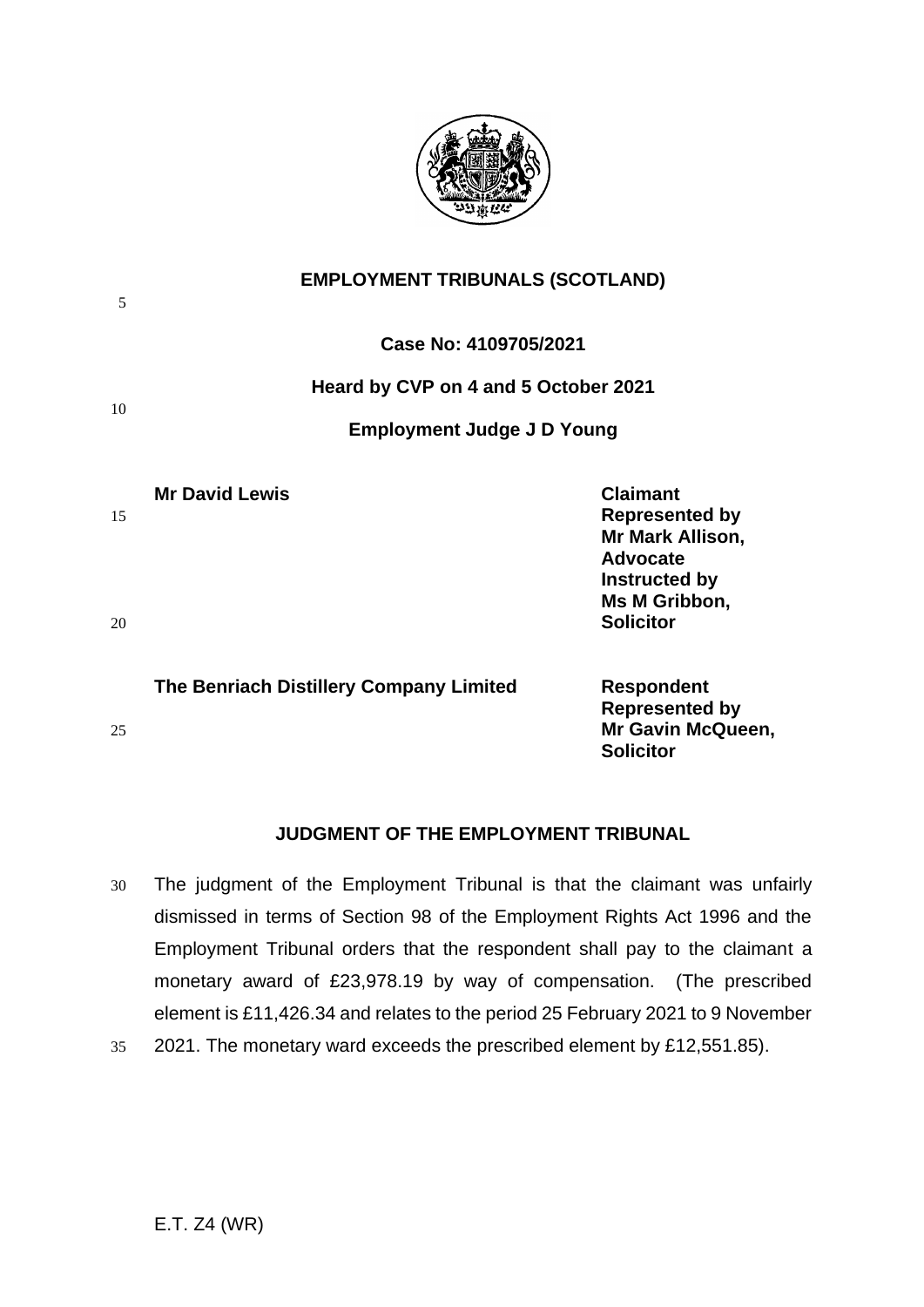

| 5  | <b>EMPLOYMENT TRIBUNALS (SCOTLAND)</b><br>Case No: 4109705/2021 |                                                                                                                   |
|----|-----------------------------------------------------------------|-------------------------------------------------------------------------------------------------------------------|
|    |                                                                 |                                                                                                                   |
| 10 | Heard by CVP on 4 and 5 October 2021                            |                                                                                                                   |
|    | <b>Employment Judge J D Young</b>                               |                                                                                                                   |
| 15 | <b>Mr David Lewis</b>                                           | <b>Claimant</b><br><b>Represented by</b><br>Mr Mark Allison,<br><b>Advocate</b><br>Instructed by<br>Ms M Gribbon, |
| 20 |                                                                 | <b>Solicitor</b>                                                                                                  |
|    | The Benriach Distillery Company Limited                         | <b>Respondent</b><br><b>Represented by</b>                                                                        |
| 25 |                                                                 | Mr Gavin McQueen,                                                                                                 |

## **JUDGMENT OF THE EMPLOYMENT TRIBUNAL**

**Solicitor**

- 30 The judgment of the Employment Tribunal is that the claimant was unfairly dismissed in terms of Section 98 of the Employment Rights Act 1996 and the Employment Tribunal orders that the respondent shall pay to the claimant a monetary award of £23,978.19 by way of compensation. (The prescribed element is £11,426.34 and relates to the period 25 February 2021 to 9 November
- 35 2021. The monetary ward exceeds the prescribed element by £12,551.85).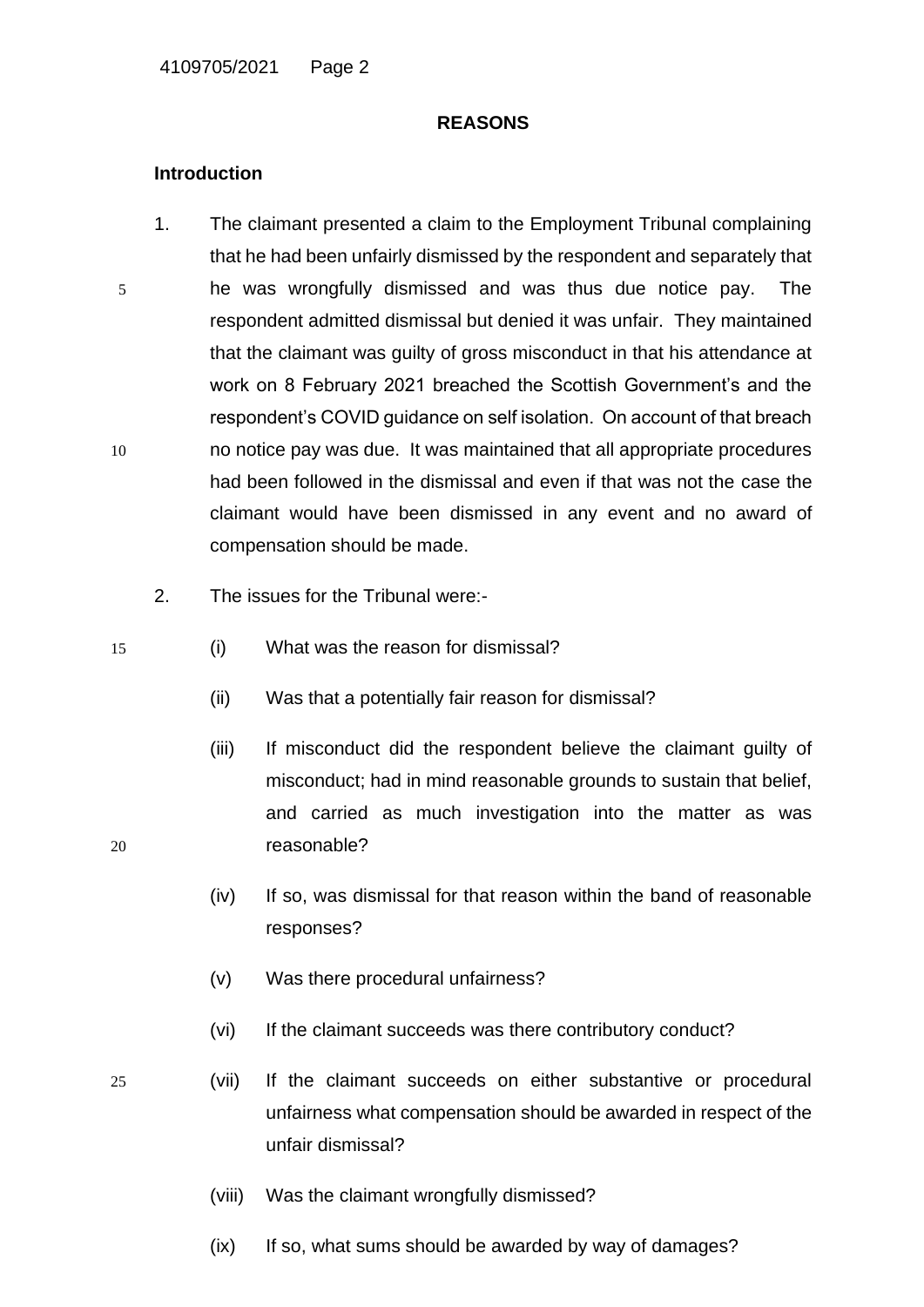#### **REASONS**

## **Introduction**

- 1. The claimant presented a claim to the Employment Tribunal complaining that he had been unfairly dismissed by the respondent and separately that 5 he was wrongfully dismissed and was thus due notice pay. The respondent admitted dismissal but denied it was unfair. They maintained that the claimant was guilty of gross misconduct in that his attendance at work on 8 February 2021 breached the Scottish Government's and the respondent's COVID guidance on self isolation. On account of that breach 10 no notice pay was due. It was maintained that all appropriate procedures had been followed in the dismissal and even if that was not the case the claimant would have been dismissed in any event and no award of compensation should be made.
	- 2. The issues for the Tribunal were:-
- 15 (i) What was the reason for dismissal?
	- (ii) Was that a potentially fair reason for dismissal?
- (iii) If misconduct did the respondent believe the claimant guilty of misconduct; had in mind reasonable grounds to sustain that belief, and carried as much investigation into the matter as was 20 reasonable?
	- (iv) If so, was dismissal for that reason within the band of reasonable responses?
	- (v) Was there procedural unfairness?
	- (vi) If the claimant succeeds was there contributory conduct?
- 
- 25 (vii) If the claimant succeeds on either substantive or procedural unfairness what compensation should be awarded in respect of the unfair dismissal?
	- (viii) Was the claimant wrongfully dismissed?
	- (ix) If so, what sums should be awarded by way of damages?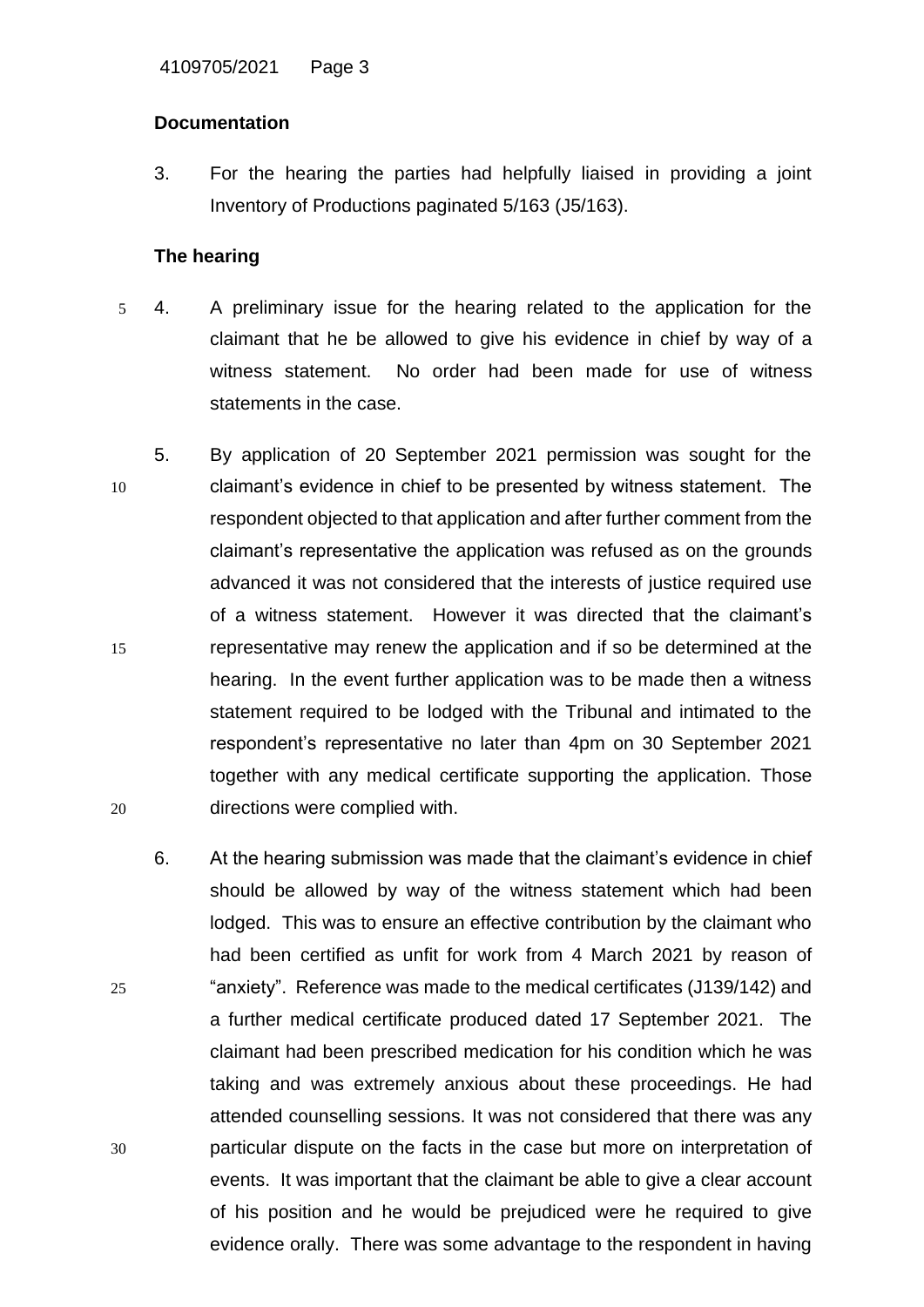# **Documentation**

3. For the hearing the parties had helpfully liaised in providing a joint Inventory of Productions paginated 5/163 (J5/163).

# **The hearing**

- 5 4. A preliminary issue for the hearing related to the application for the claimant that he be allowed to give his evidence in chief by way of a witness statement. No order had been made for use of witness statements in the case.
- 5. By application of 20 September 2021 permission was sought for the 10 claimant's evidence in chief to be presented by witness statement. The respondent objected to that application and after further comment from the claimant's representative the application was refused as on the grounds advanced it was not considered that the interests of justice required use of a witness statement. However it was directed that the claimant's 15 representative may renew the application and if so be determined at the hearing. In the event further application was to be made then a witness statement required to be lodged with the Tribunal and intimated to the respondent's representative no later than 4pm on 30 September 2021 together with any medical certificate supporting the application. Those 20 directions were complied with.
- 6. At the hearing submission was made that the claimant's evidence in chief should be allowed by way of the witness statement which had been lodged. This was to ensure an effective contribution by the claimant who had been certified as unfit for work from 4 March 2021 by reason of 25 "anxiety". Reference was made to the medical certificates (J139/142) and a further medical certificate produced dated 17 September 2021. The claimant had been prescribed medication for his condition which he was taking and was extremely anxious about these proceedings. He had attended counselling sessions. It was not considered that there was any 30 particular dispute on the facts in the case but more on interpretation of events. It was important that the claimant be able to give a clear account of his position and he would be prejudiced were he required to give evidence orally. There was some advantage to the respondent in having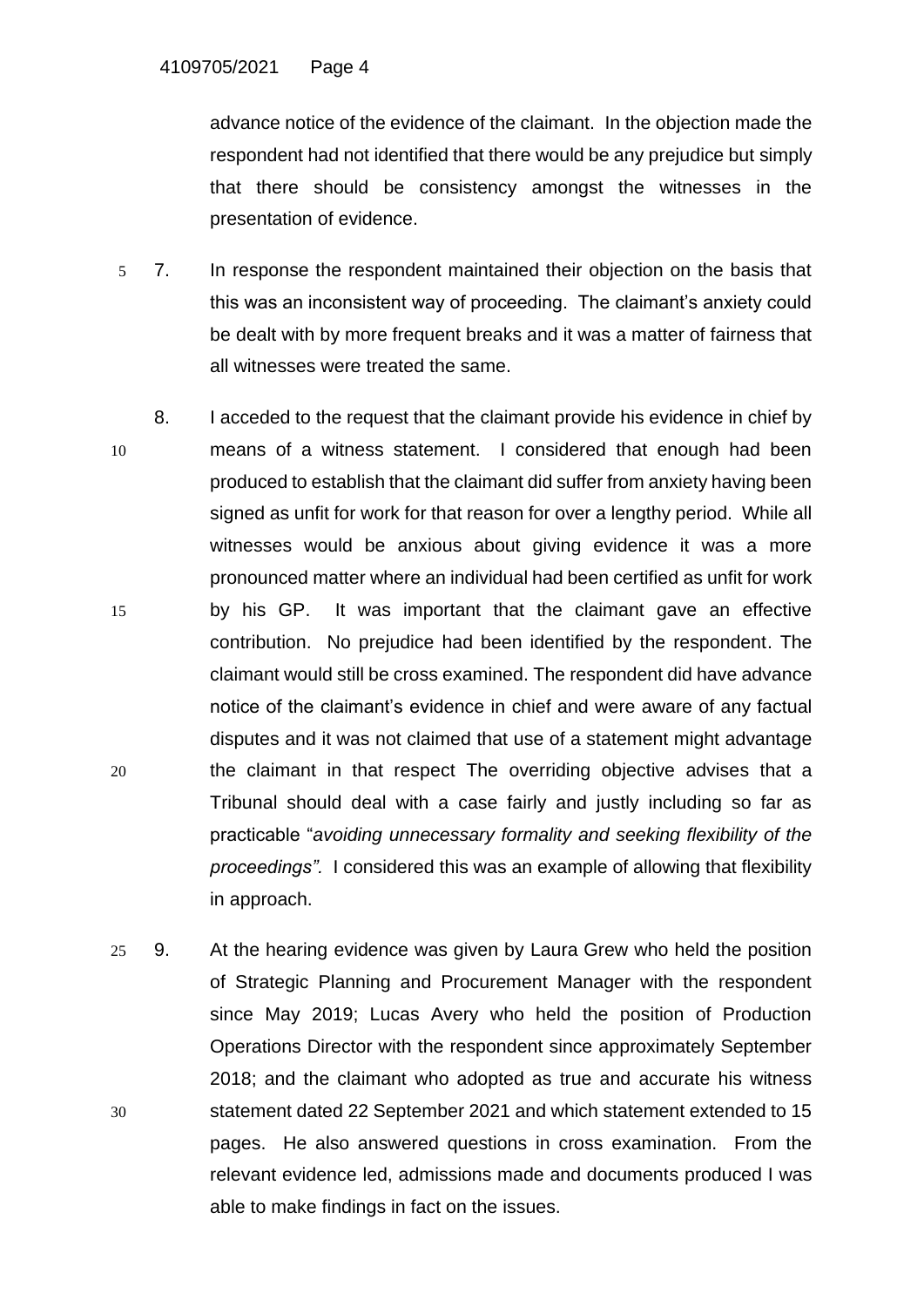advance notice of the evidence of the claimant. In the objection made the respondent had not identified that there would be any prejudice but simply that there should be consistency amongst the witnesses in the presentation of evidence.

- 5 7. In response the respondent maintained their objection on the basis that this was an inconsistent way of proceeding. The claimant's anxiety could be dealt with by more frequent breaks and it was a matter of fairness that all witnesses were treated the same.
- 8. I acceded to the request that the claimant provide his evidence in chief by 10 means of a witness statement. I considered that enough had been produced to establish that the claimant did suffer from anxiety having been signed as unfit for work for that reason for over a lengthy period. While all witnesses would be anxious about giving evidence it was a more pronounced matter where an individual had been certified as unfit for work 15 by his GP. It was important that the claimant gave an effective contribution. No prejudice had been identified by the respondent. The claimant would still be cross examined. The respondent did have advance notice of the claimant's evidence in chief and were aware of any factual disputes and it was not claimed that use of a statement might advantage 20 the claimant in that respect The overriding objective advises that a Tribunal should deal with a case fairly and justly including so far as practicable "*avoiding unnecessary formality and seeking flexibility of the proceedings".* I considered this was an example of allowing that flexibility in approach.
- 25 9. At the hearing evidence was given by Laura Grew who held the position of Strategic Planning and Procurement Manager with the respondent since May 2019; Lucas Avery who held the position of Production Operations Director with the respondent since approximately September 2018; and the claimant who adopted as true and accurate his witness 30 statement dated 22 September 2021 and which statement extended to 15 pages. He also answered questions in cross examination. From the relevant evidence led, admissions made and documents produced I was able to make findings in fact on the issues.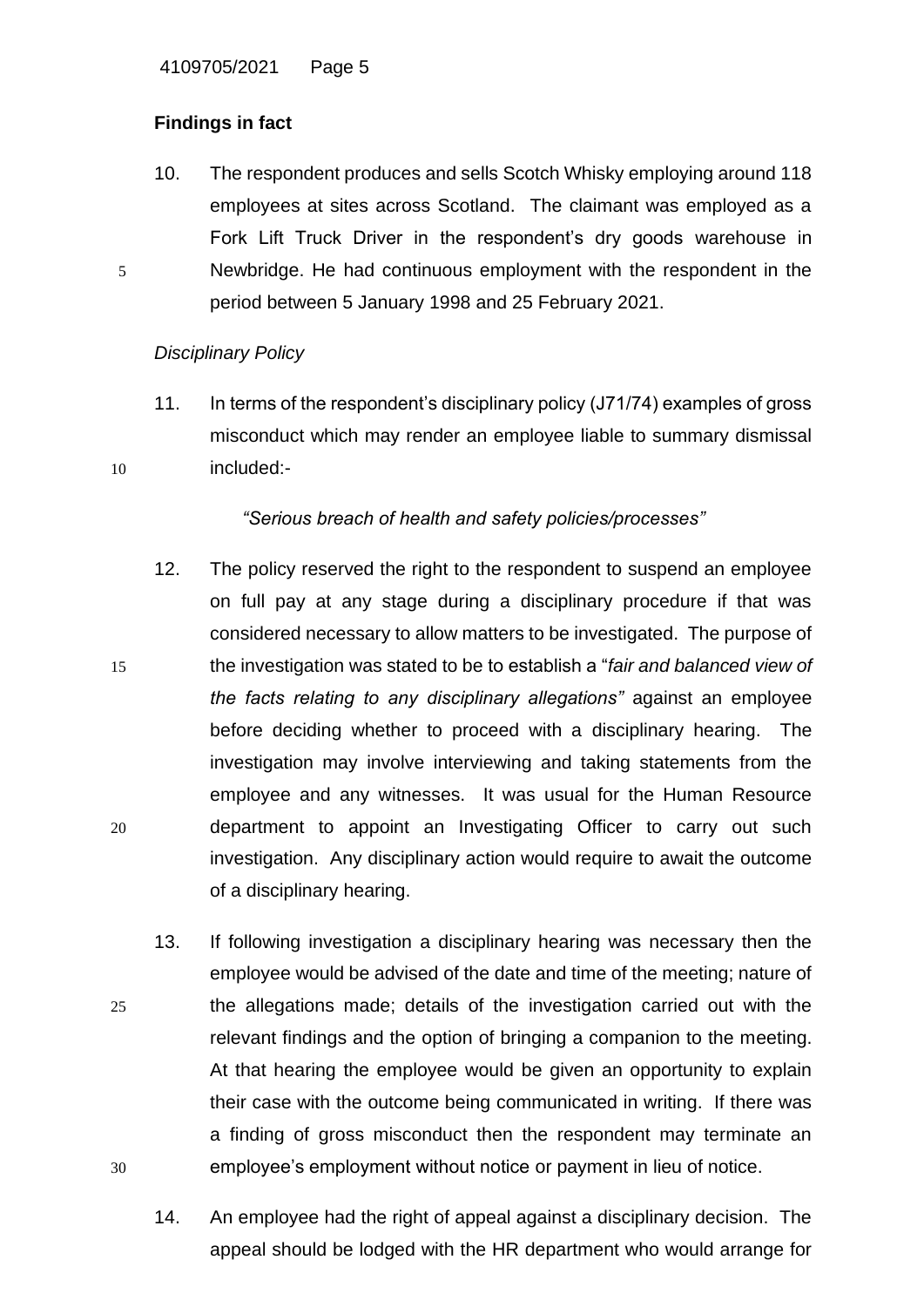# **Findings in fact**

10. The respondent produces and sells Scotch Whisky employing around 118 employees at sites across Scotland. The claimant was employed as a Fork Lift Truck Driver in the respondent's dry goods warehouse in 5 Newbridge. He had continuous employment with the respondent in the period between 5 January 1998 and 25 February 2021.

# *Disciplinary Policy*

11. In terms of the respondent's disciplinary policy (J71/74) examples of gross misconduct which may render an employee liable to summary dismissal 10 included:-

# *"Serious breach of health and safety policies/processes"*

- 12. The policy reserved the right to the respondent to suspend an employee on full pay at any stage during a disciplinary procedure if that was considered necessary to allow matters to be investigated. The purpose of 15 the investigation was stated to be to establish a "*fair and balanced view of the facts relating to any disciplinary allegations"* against an employee before deciding whether to proceed with a disciplinary hearing. The investigation may involve interviewing and taking statements from the employee and any witnesses. It was usual for the Human Resource 20 department to appoint an Investigating Officer to carry out such investigation. Any disciplinary action would require to await the outcome of a disciplinary hearing.
- 13. If following investigation a disciplinary hearing was necessary then the employee would be advised of the date and time of the meeting; nature of 25 the allegations made; details of the investigation carried out with the relevant findings and the option of bringing a companion to the meeting. At that hearing the employee would be given an opportunity to explain their case with the outcome being communicated in writing. If there was a finding of gross misconduct then the respondent may terminate an 30 employee's employment without notice or payment in lieu of notice.
	- 14. An employee had the right of appeal against a disciplinary decision. The appeal should be lodged with the HR department who would arrange for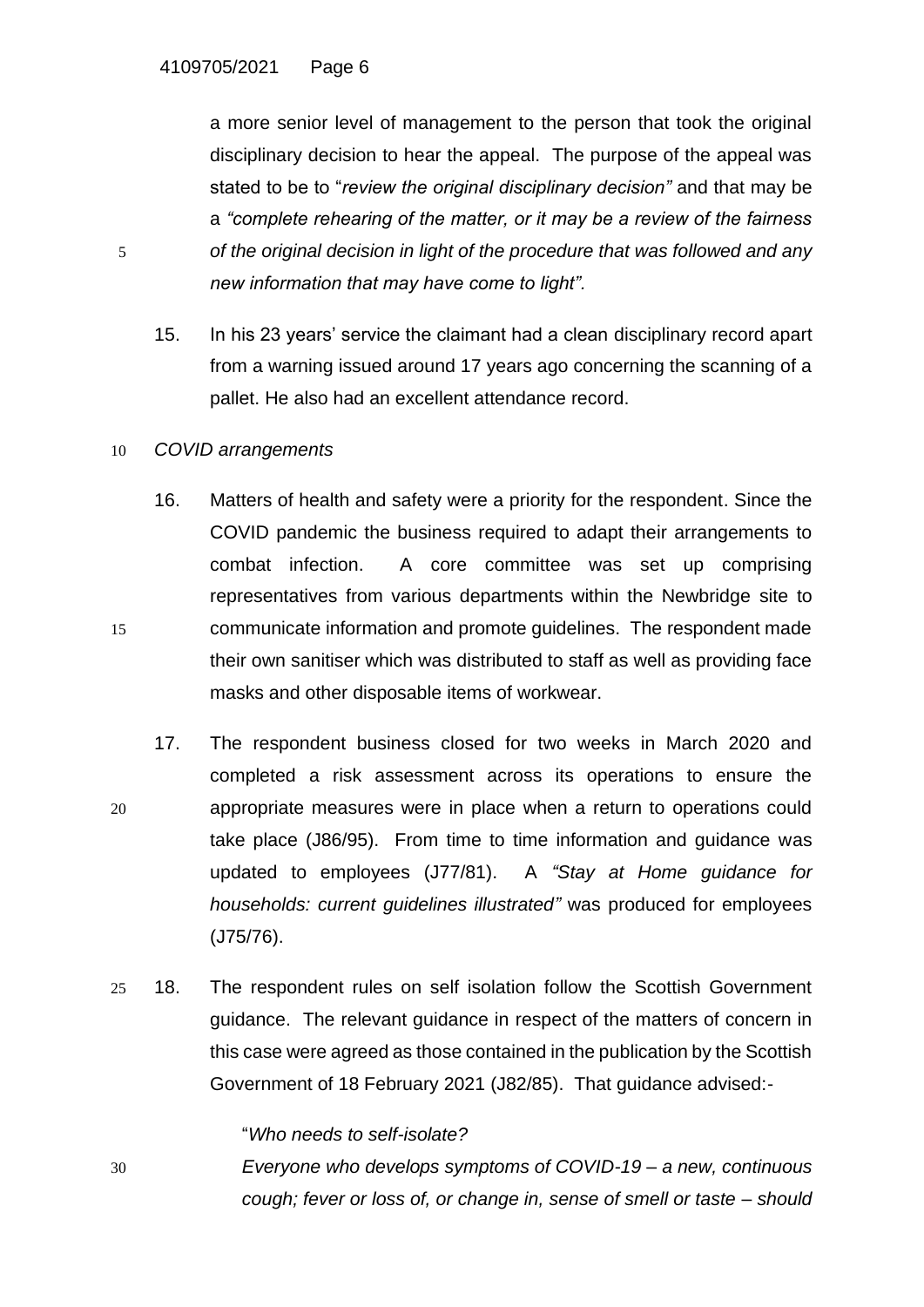a more senior level of management to the person that took the original disciplinary decision to hear the appeal. The purpose of the appeal was stated to be to "*review the original disciplinary decision"* and that may be a *"complete rehearing of the matter, or it may be a review of the fairness*  5 *of the original decision in light of the procedure that was followed and any new information that may have come to light".*

15. In his 23 years' service the claimant had a clean disciplinary record apart from a warning issued around 17 years ago concerning the scanning of a pallet. He also had an excellent attendance record.

#### 10 *COVID arrangements*

- 16. Matters of health and safety were a priority for the respondent. Since the COVID pandemic the business required to adapt their arrangements to combat infection. A core committee was set up comprising representatives from various departments within the Newbridge site to 15 communicate information and promote guidelines. The respondent made their own sanitiser which was distributed to staff as well as providing face masks and other disposable items of workwear.
- 17. The respondent business closed for two weeks in March 2020 and completed a risk assessment across its operations to ensure the 20 appropriate measures were in place when a return to operations could take place (J86/95). From time to time information and guidance was updated to employees (J77/81). A *"Stay at Home guidance for households: current guidelines illustrated"* was produced for employees (J75/76).
- 25 18. The respondent rules on self isolation follow the Scottish Government guidance. The relevant guidance in respect of the matters of concern in this case were agreed as those contained in the publication by the Scottish Government of 18 February 2021 (J82/85). That guidance advised:-

"*Who needs to self-isolate?*

30 *Everyone who develops symptoms of COVID-19 – a new, continuous cough; fever or loss of, or change in, sense of smell or taste – should*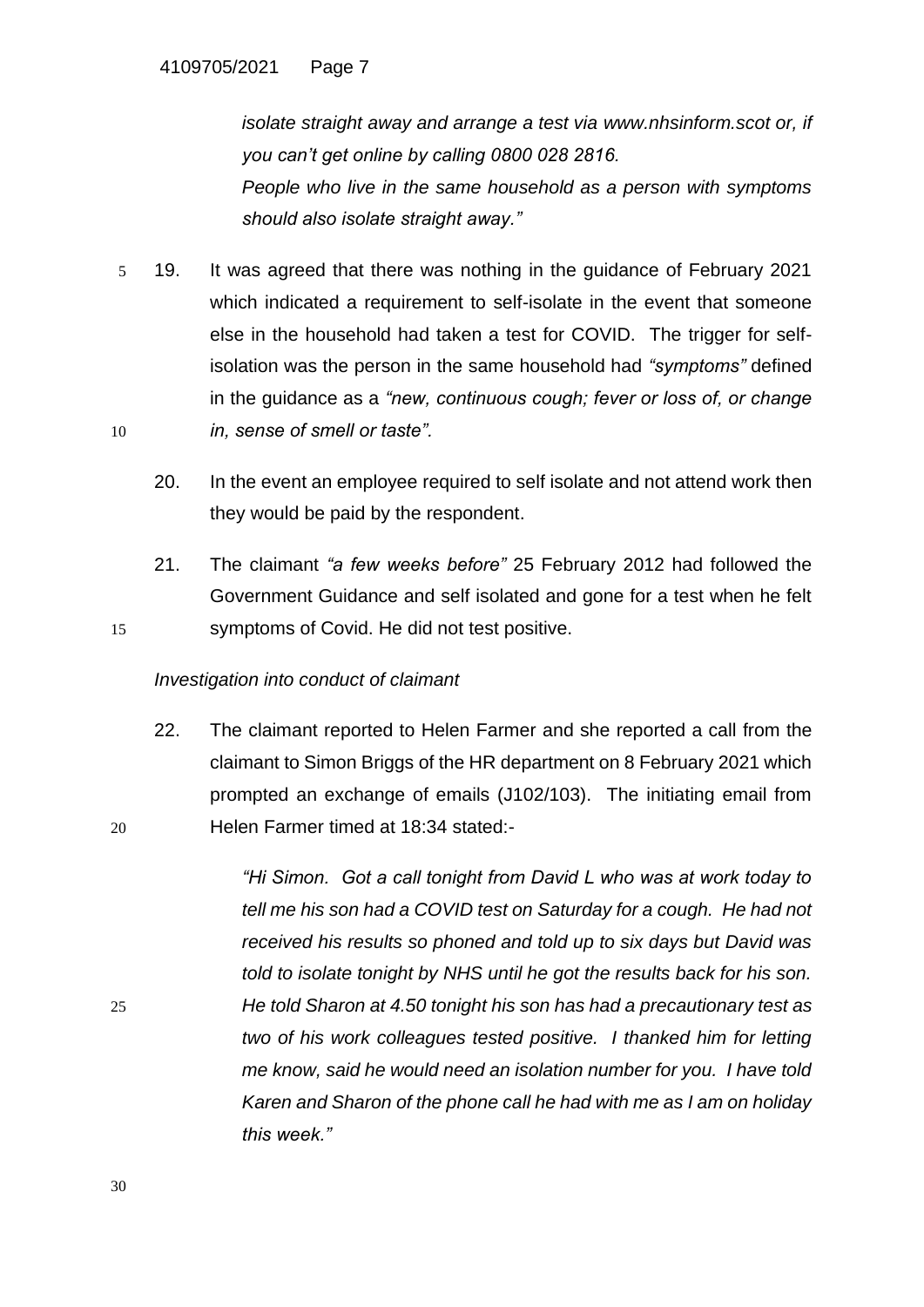*isolate straight away and arrange a test via [www.nhsinform.scot](http://www.nhsinform.scot/) or, if you can't get online by calling 0800 028 2816. People who live in the same household as a person with symptoms should also isolate straight away."*

- 5 19. It was agreed that there was nothing in the guidance of February 2021 which indicated a requirement to self-isolate in the event that someone else in the household had taken a test for COVID. The trigger for selfisolation was the person in the same household had *"symptoms"* defined in the guidance as a *"new, continuous cough; fever or loss of, or change*  10 *in, sense of smell or taste".*
	- 20. In the event an employee required to self isolate and not attend work then they would be paid by the respondent.
- 21. The claimant *"a few weeks before"* 25 February 2012 had followed the Government Guidance and self isolated and gone for a test when he felt 15 symptoms of Covid. He did not test positive.

## *Investigation into conduct of claimant*

22. The claimant reported to Helen Farmer and she reported a call from the claimant to Simon Briggs of the HR department on 8 February 2021 which prompted an exchange of emails (J102/103). The initiating email from 20 Helen Farmer timed at 18:34 stated:-

*"Hi Simon. Got a call tonight from David L who was at work today to tell me his son had a COVID test on Saturday for a cough. He had not received his results so phoned and told up to six days but David was told to isolate tonight by NHS until he got the results back for his son.*  25 *He told Sharon at 4.50 tonight his son has had a precautionary test as two of his work colleagues tested positive. I thanked him for letting me know, said he would need an isolation number for you. I have told Karen and Sharon of the phone call he had with me as I am on holiday this week."*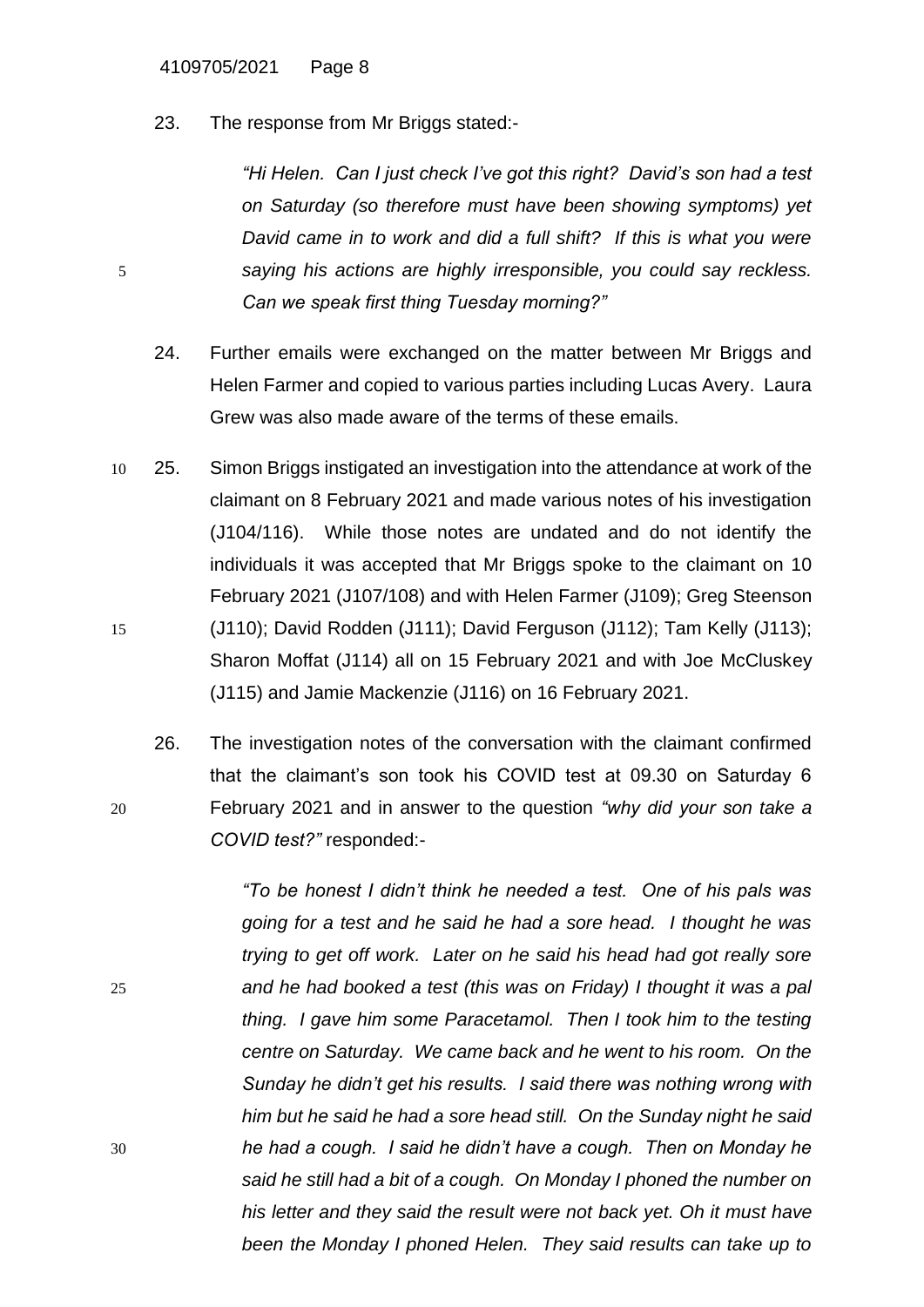23. The response from Mr Briggs stated:-

*"Hi Helen. Can I just check I've got this right? David's son had a test on Saturday (so therefore must have been showing symptoms) yet David came in to work and did a full shift? If this is what you were*  5 *saying his actions are highly irresponsible, you could say reckless. Can we speak first thing Tuesday morning?"*

- 24. Further emails were exchanged on the matter between Mr Briggs and Helen Farmer and copied to various parties including Lucas Avery. Laura Grew was also made aware of the terms of these emails.
- 10 25. Simon Briggs instigated an investigation into the attendance at work of the claimant on 8 February 2021 and made various notes of his investigation (J104/116). While those notes are undated and do not identify the individuals it was accepted that Mr Briggs spoke to the claimant on 10 February 2021 (J107/108) and with Helen Farmer (J109); Greg Steenson 15 (J110); David Rodden (J111); David Ferguson (J112); Tam Kelly (J113); Sharon Moffat (J114) all on 15 February 2021 and with Joe McCluskey (J115) and Jamie Mackenzie (J116) on 16 February 2021.
- 26. The investigation notes of the conversation with the claimant confirmed that the claimant's son took his COVID test at 09.30 on Saturday 6 20 February 2021 and in answer to the question *"why did your son take a COVID test?"* responded:-

*"To be honest I didn't think he needed a test. One of his pals was going for a test and he said he had a sore head. I thought he was trying to get off work. Later on he said his head had got really sore*  25 *and he had booked a test (this was on Friday) I thought it was a pal thing. I gave him some Paracetamol. Then I took him to the testing centre on Saturday. We came back and he went to his room. On the Sunday he didn't get his results. I said there was nothing wrong with him but he said he had a sore head still. On the Sunday night he said*  30 *he had a cough. I said he didn't have a cough. Then on Monday he said he still had a bit of a cough. On Monday I phoned the number on his letter and they said the result were not back yet. Oh it must have been the Monday I phoned Helen. They said results can take up to*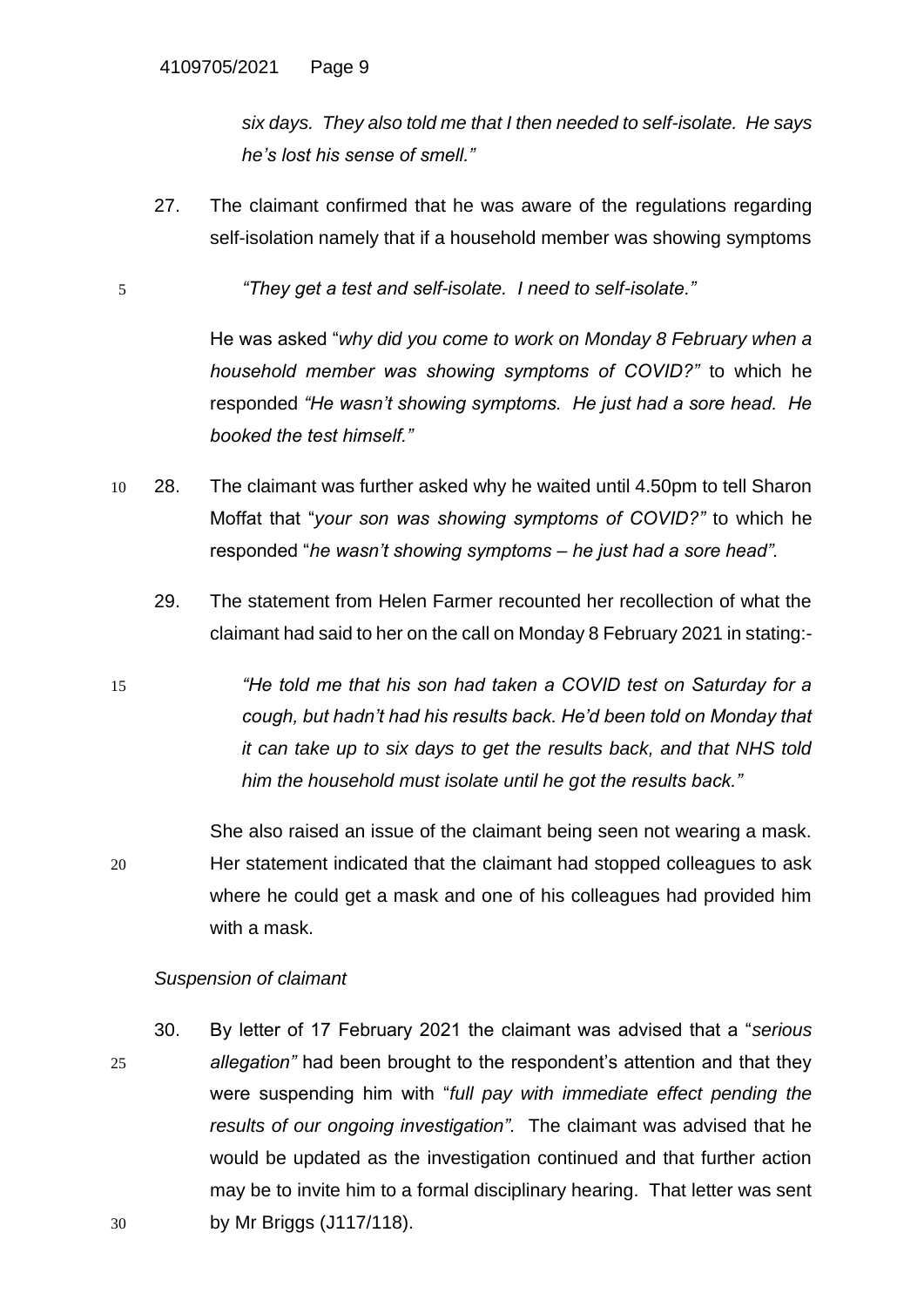*six days. They also told me that I then needed to self-isolate. He says he's lost his sense of smell."*

27. The claimant confirmed that he was aware of the regulations regarding self-isolation namely that if a household member was showing symptoms

5 *"They get a test and self-isolate. I need to self-isolate."*

He was asked "*why did you come to work on Monday 8 February when a household member was showing symptoms of COVID?"* to which he responded *"He wasn't showing symptoms. He just had a sore head. He booked the test himself."*

- 10 28. The claimant was further asked why he waited until 4.50pm to tell Sharon Moffat that "*your son was showing symptoms of COVID?"* to which he responded "*he wasn't showing symptoms – he just had a sore head".*
	- 29. The statement from Helen Farmer recounted her recollection of what the claimant had said to her on the call on Monday 8 February 2021 in stating:-
- 15 *"He told me that his son had taken a COVID test on Saturday for a cough, but hadn't had his results back. He'd been told on Monday that it can take up to six days to get the results back, and that NHS told him the household must isolate until he got the results back."*

She also raised an issue of the claimant being seen not wearing a mask. 20 Her statement indicated that the claimant had stopped colleagues to ask where he could get a mask and one of his colleagues had provided him with a mask.

## *Suspension of claimant*

30. By letter of 17 February 2021 the claimant was advised that a "*serious*  25 *allegation"* had been brought to the respondent's attention and that they were suspending him with "*full pay with immediate effect pending the results of our ongoing investigation".* The claimant was advised that he would be updated as the investigation continued and that further action may be to invite him to a formal disciplinary hearing. That letter was sent 30 by Mr Briggs (J117/118).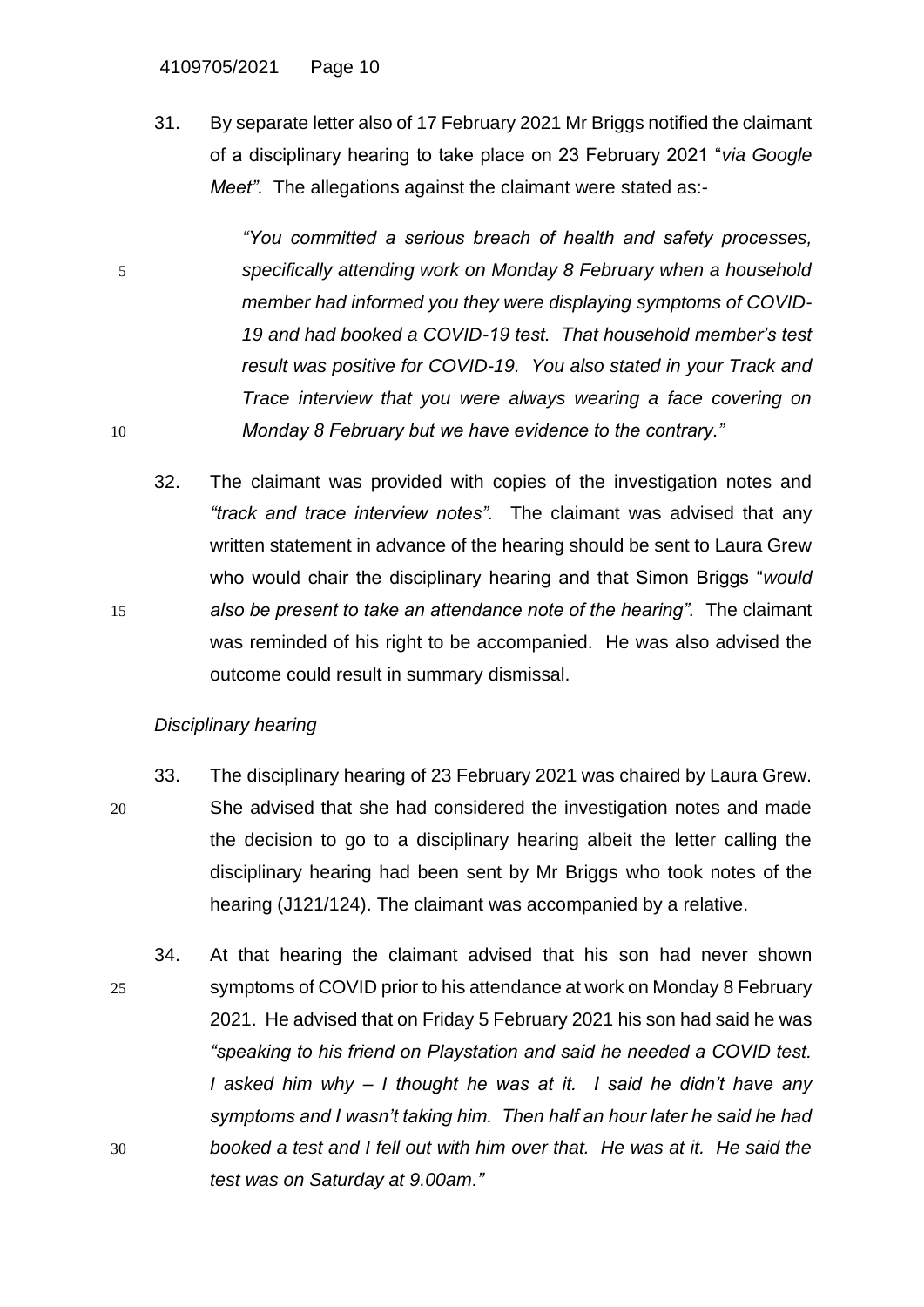#### 4109705/2021 Page 10

31. By separate letter also of 17 February 2021 Mr Briggs notified the claimant of a disciplinary hearing to take place on 23 February 2021 "*via Google Meet".* The allegations against the claimant were stated as:-

*"You committed a serious breach of health and safety processes,* 5 *specifically attending work on Monday 8 February when a household member had informed you they were displaying symptoms of COVID-19 and had booked a COVID-19 test. That household member's test result was positive for COVID-19. You also stated in your Track and Trace interview that you were always wearing a face covering on*  10 *Monday 8 February but we have evidence to the contrary."*

32. The claimant was provided with copies of the investigation notes and *"track and trace interview notes".* The claimant was advised that any written statement in advance of the hearing should be sent to Laura Grew who would chair the disciplinary hearing and that Simon Briggs "*would*  15 *also be present to take an attendance note of the hearing".* The claimant was reminded of his right to be accompanied. He was also advised the outcome could result in summary dismissal.

## *Disciplinary hearing*

- 33. The disciplinary hearing of 23 February 2021 was chaired by Laura Grew. 20 She advised that she had considered the investigation notes and made the decision to go to a disciplinary hearing albeit the letter calling the disciplinary hearing had been sent by Mr Briggs who took notes of the hearing (J121/124). The claimant was accompanied by a relative.
- 34. At that hearing the claimant advised that his son had never shown 25 symptoms of COVID prior to his attendance at work on Monday 8 February 2021. He advised that on Friday 5 February 2021 his son had said he was *"speaking to his friend on Playstation and said he needed a COVID test. I asked him why – I thought he was at it. I said he didn't have any symptoms and I wasn't taking him. Then half an hour later he said he had*  30 *booked a test and I fell out with him over that. He was at it. He said the test was on Saturday at 9.00am."*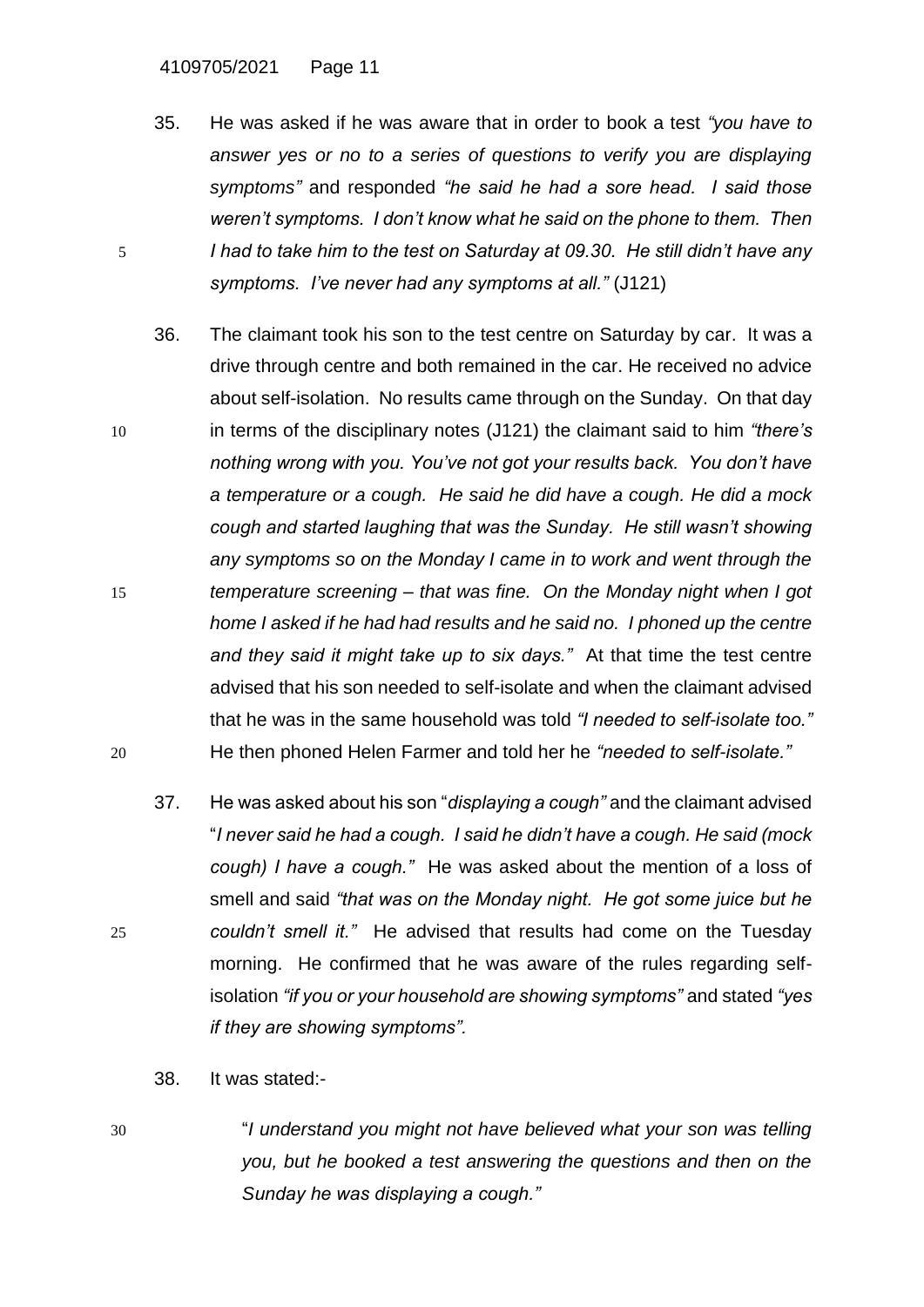4109705/2021 Page 11

- 35. He was asked if he was aware that in order to book a test *"you have to answer yes or no to a series of questions to verify you are displaying symptoms"* and responded *"he said he had a sore head. I said those weren't symptoms. I don't know what he said on the phone to them. Then*  5 *I had to take him to the test on Saturday at 09.30. He still didn't have any symptoms. I've never had any symptoms at all."* (J121)
- 36. The claimant took his son to the test centre on Saturday by car. It was a drive through centre and both remained in the car. He received no advice about self-isolation. No results came through on the Sunday. On that day 10 in terms of the disciplinary notes (J121) the claimant said to him *"there's nothing wrong with you. You've not got your results back. You don't have a temperature or a cough. He said he did have a cough. He did a mock cough and started laughing that was the Sunday. He still wasn't showing any symptoms so on the Monday I came in to work and went through the*  15 *temperature screening – that was fine. On the Monday night when I got home I asked if he had had results and he said no. I phoned up the centre and they said it might take up to six days."* At that time the test centre advised that his son needed to self-isolate and when the claimant advised that he was in the same household was told *"I needed to self-isolate too."* 20 He then phoned Helen Farmer and told her he *"needed to self-isolate."*
- 37. He was asked about his son "*displaying a cough"* and the claimant advised "*I never said he had a cough. I said he didn't have a cough. He said (mock cough) I have a cough."* He was asked about the mention of a loss of smell and said *"that was on the Monday night. He got some juice but he*  25 *couldn't smell it."* He advised that results had come on the Tuesday morning. He confirmed that he was aware of the rules regarding selfisolation *"if you or your household are showing symptoms"* and stated *"yes if they are showing symptoms".*
	- 38. It was stated:-
- 30 "*I understand you might not have believed what your son was telling you, but he booked a test answering the questions and then on the Sunday he was displaying a cough."*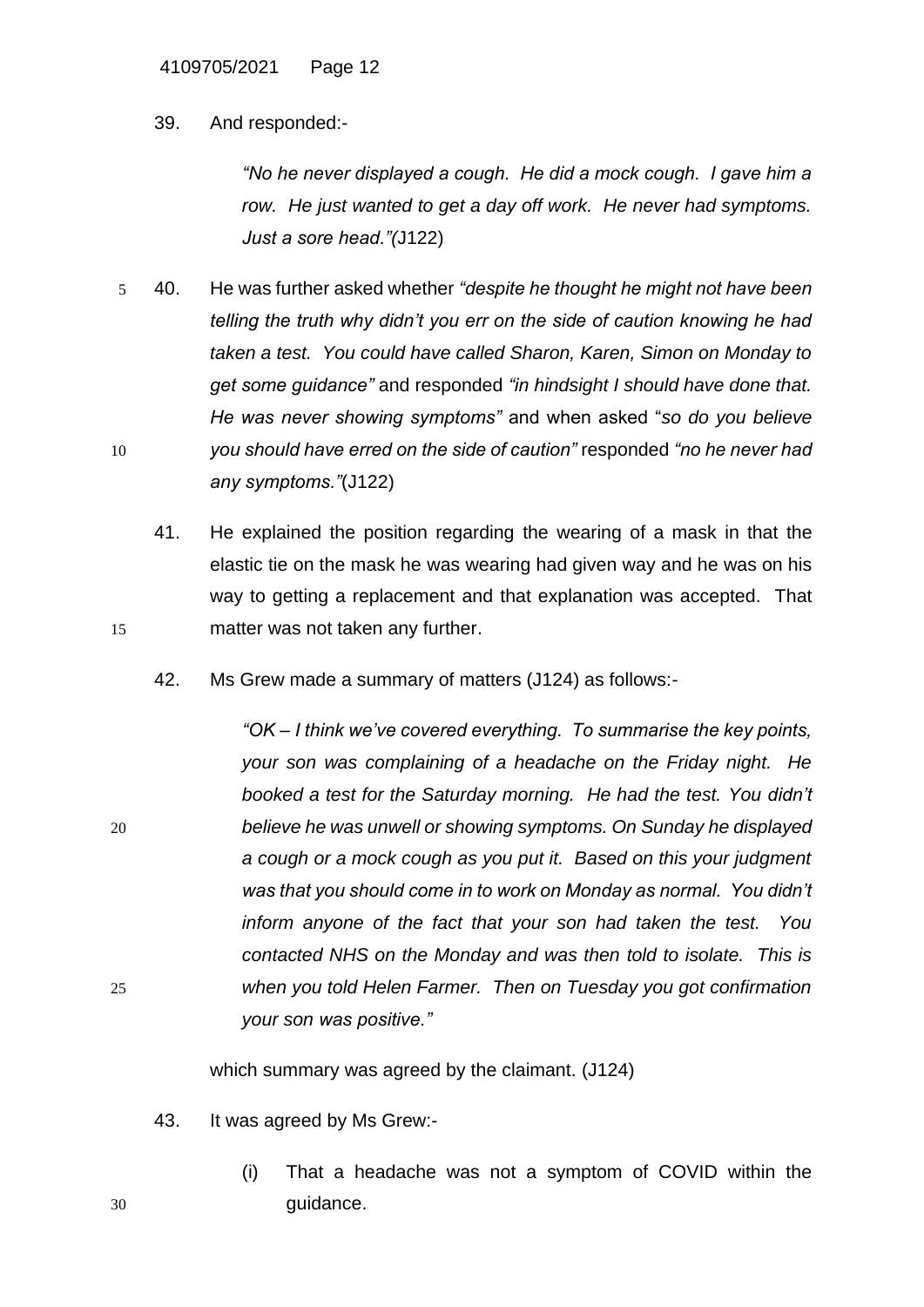#### 39. And responded:-

*"No he never displayed a cough. He did a mock cough. I gave him a row. He just wanted to get a day off work. He never had symptoms. Just a sore head."(*J122)

- 5 40. He was further asked whether *"despite he thought he might not have been telling the truth why didn't you err on the side of caution knowing he had taken a test. You could have called Sharon, Karen, Simon on Monday to get some guidance"* and responded *"in hindsight I should have done that. He was never showing symptoms"* and when asked "*so do you believe*  10 *you should have erred on the side of caution"* responded *"no he never had any symptoms."*(J122)
- 41. He explained the position regarding the wearing of a mask in that the elastic tie on the mask he was wearing had given way and he was on his way to getting a replacement and that explanation was accepted. That 15 matter was not taken any further.
	- 42. Ms Grew made a summary of matters (J124) as follows:-

*"OK – I think we've covered everything. To summarise the key points, your son was complaining of a headache on the Friday night. He booked a test for the Saturday morning. He had the test. You didn't*  20 *believe he was unwell or showing symptoms. On Sunday he displayed a cough or a mock cough as you put it. Based on this your judgment was that you should come in to work on Monday as normal. You didn't inform anyone of the fact that your son had taken the test. You contacted NHS on the Monday and was then told to isolate. This is*  25 *when you told Helen Farmer. Then on Tuesday you got confirmation your son was positive."* 

which summary was agreed by the claimant. (J124)

- 43. It was agreed by Ms Grew:-
- (i) That a headache was not a symptom of COVID within the 30 guidance.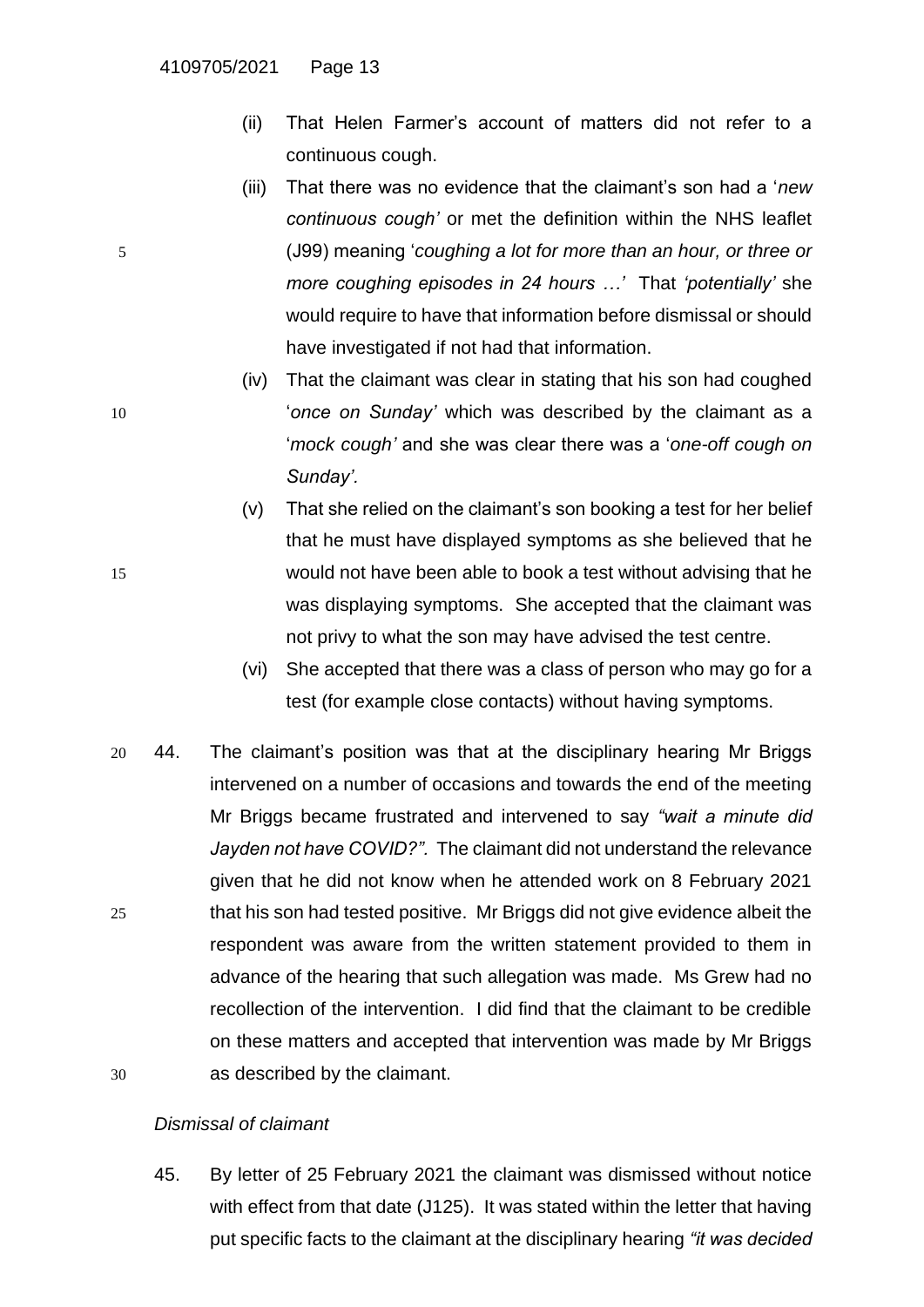- (ii) That Helen Farmer's account of matters did not refer to a continuous cough.
- (iii) That there was no evidence that the claimant's son had a '*new continuous cough'* or met the definition within the NHS leaflet 5 (J99) meaning '*coughing a lot for more than an hour, or three or more coughing episodes in 24 hours …'* That *'potentially'* she would require to have that information before dismissal or should have investigated if not had that information.
- (iv) That the claimant was clear in stating that his son had coughed 10 '*once on Sunday'* which was described by the claimant as a '*mock cough'* and she was clear there was a '*one-off cough on Sunday'.*
- (v) That she relied on the claimant's son booking a test for her belief that he must have displayed symptoms as she believed that he 15 would not have been able to book a test without advising that he was displaying symptoms. She accepted that the claimant was not privy to what the son may have advised the test centre.
	- (vi) She accepted that there was a class of person who may go for a test (for example close contacts) without having symptoms.
- 20 44. The claimant's position was that at the disciplinary hearing Mr Briggs intervened on a number of occasions and towards the end of the meeting Mr Briggs became frustrated and intervened to say *"wait a minute did Jayden not have COVID?".* The claimant did not understand the relevance given that he did not know when he attended work on 8 February 2021 25 that his son had tested positive. Mr Briggs did not give evidence albeit the respondent was aware from the written statement provided to them in advance of the hearing that such allegation was made. Ms Grew had no recollection of the intervention. I did find that the claimant to be credible on these matters and accepted that intervention was made by Mr Briggs 30 as described by the claimant.

## *Dismissal of claimant*

45. By letter of 25 February 2021 the claimant was dismissed without notice with effect from that date (J125). It was stated within the letter that having put specific facts to the claimant at the disciplinary hearing *"it was decided*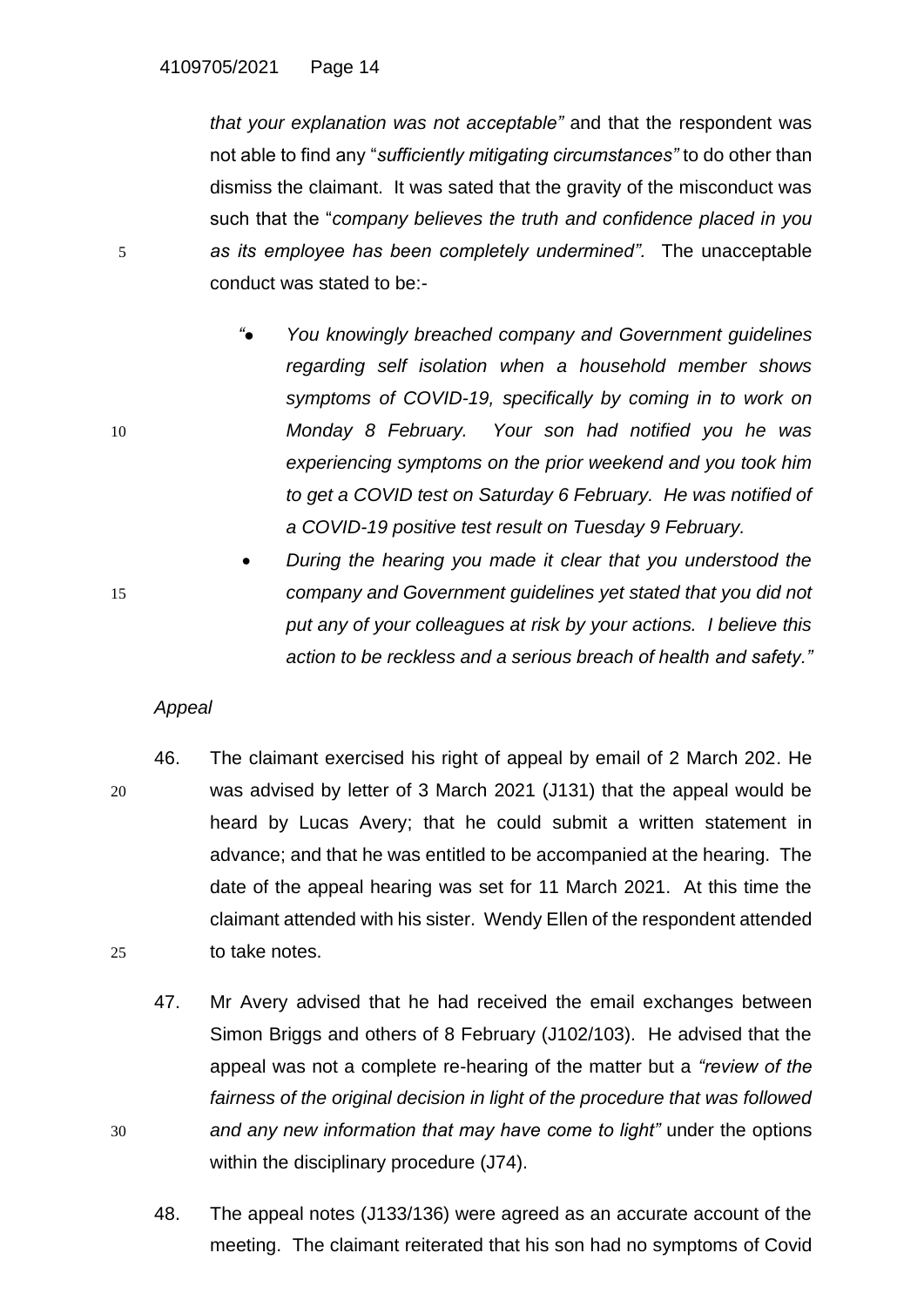*that your explanation was not acceptable"* and that the respondent was not able to find any "*sufficiently mitigating circumstances"* to do other than dismiss the claimant. It was sated that the gravity of the misconduct was such that the "*company believes the truth and confidence placed in you*  5 *as its employee has been completely undermined".* The unacceptable conduct was stated to be:-

- *"● You knowingly breached company and Government guidelines regarding self isolation when a household member shows symptoms of COVID-19, specifically by coming in to work on*  10 *Monday 8 February. Your son had notified you he was experiencing symptoms on the prior weekend and you took him to get a COVID test on Saturday 6 February. He was notified of a COVID-19 positive test result on Tuesday 9 February.*
- *During the hearing you made it clear that you understood the*  15 *company and Government guidelines yet stated that you did not put any of your colleagues at risk by your actions. I believe this action to be reckless and a serious breach of health and safety."*

## *Appeal*

- 46. The claimant exercised his right of appeal by email of 2 March 202. He 20 was advised by letter of 3 March 2021 (J131) that the appeal would be heard by Lucas Avery; that he could submit a written statement in advance; and that he was entitled to be accompanied at the hearing. The date of the appeal hearing was set for 11 March 2021. At this time the claimant attended with his sister. Wendy Ellen of the respondent attended 25 to take notes.
- 47. Mr Avery advised that he had received the email exchanges between Simon Briggs and others of 8 February (J102/103). He advised that the appeal was not a complete re-hearing of the matter but a *"review of the fairness of the original decision in light of the procedure that was followed*  30 *and any new information that may have come to light"* under the options within the disciplinary procedure (J74).
	- 48. The appeal notes (J133/136) were agreed as an accurate account of the meeting. The claimant reiterated that his son had no symptoms of Covid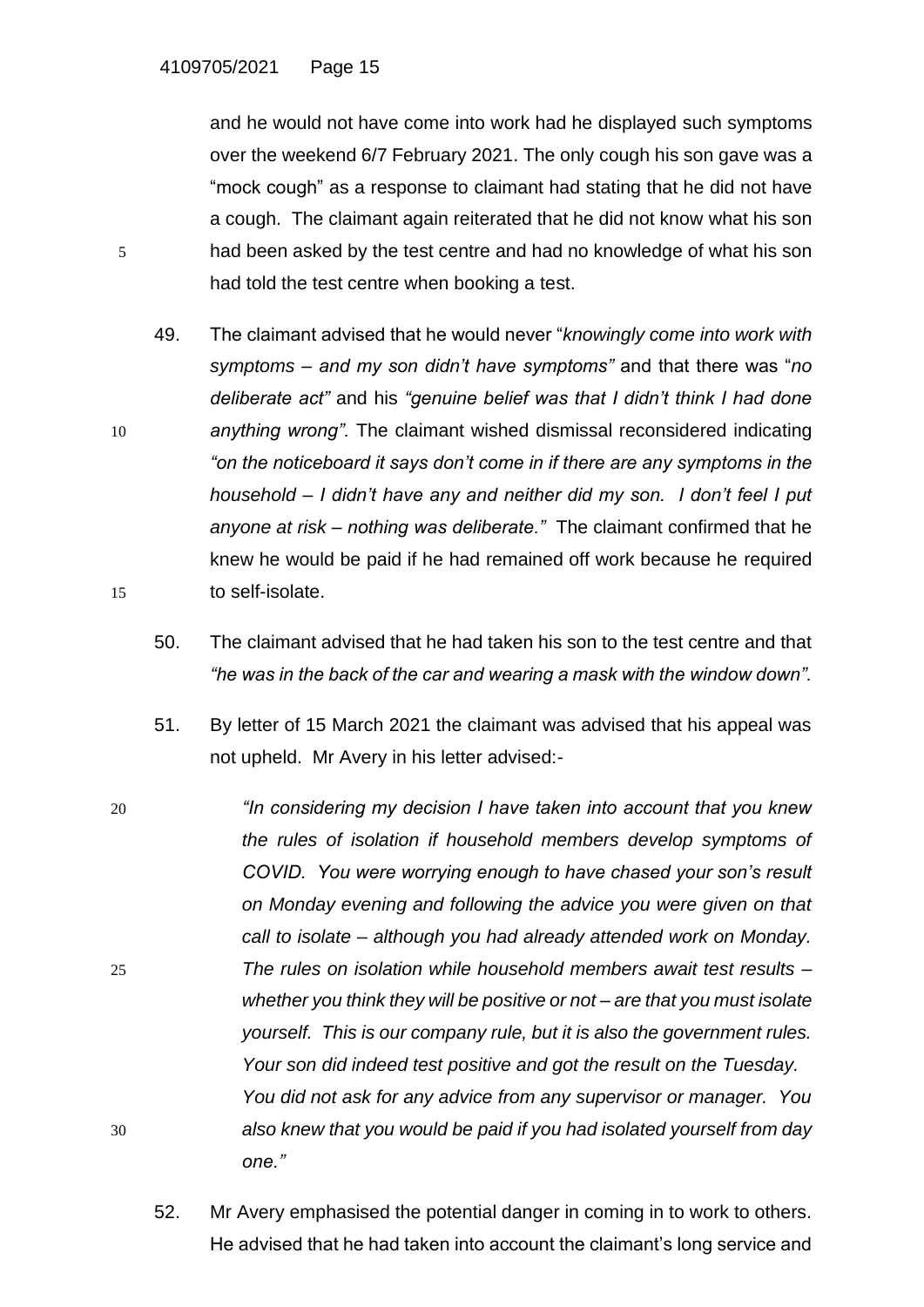and he would not have come into work had he displayed such symptoms over the weekend 6/7 February 2021. The only cough his son gave was a "mock cough" as a response to claimant had stating that he did not have a cough. The claimant again reiterated that he did not know what his son 5 had been asked by the test centre and had no knowledge of what his son had told the test centre when booking a test.

49. The claimant advised that he would never "*knowingly come into work with symptoms – and my son didn't have symptoms"* and that there was "*no deliberate act"* and his *"genuine belief was that I didn't think I had done*  10 *anything wrong".* The claimant wished dismissal reconsidered indicating *"on the noticeboard it says don't come in if there are any symptoms in the household – I didn't have any and neither did my son. I don't feel I put anyone at risk – nothing was deliberate."* The claimant confirmed that he knew he would be paid if he had remained off work because he required 15 to self-isolate.

- 50. The claimant advised that he had taken his son to the test centre and that *"he was in the back of the car and wearing a mask with the window down".*
- 51. By letter of 15 March 2021 the claimant was advised that his appeal was not upheld. Mr Avery in his letter advised:-
- 20 *"In considering my decision I have taken into account that you knew the rules of isolation if household members develop symptoms of COVID. You were worrying enough to have chased your son's result on Monday evening and following the advice you were given on that call to isolate – although you had already attended work on Monday.*  25 *The rules on isolation while household members await test results – whether you think they will be positive or not – are that you must isolate yourself. This is our company rule, but it is also the government rules. Your son did indeed test positive and got the result on the Tuesday. You did not ask for any advice from any supervisor or manager. You*  30 *also knew that you would be paid if you had isolated yourself from day one."*
	- 52. Mr Avery emphasised the potential danger in coming in to work to others. He advised that he had taken into account the claimant's long service and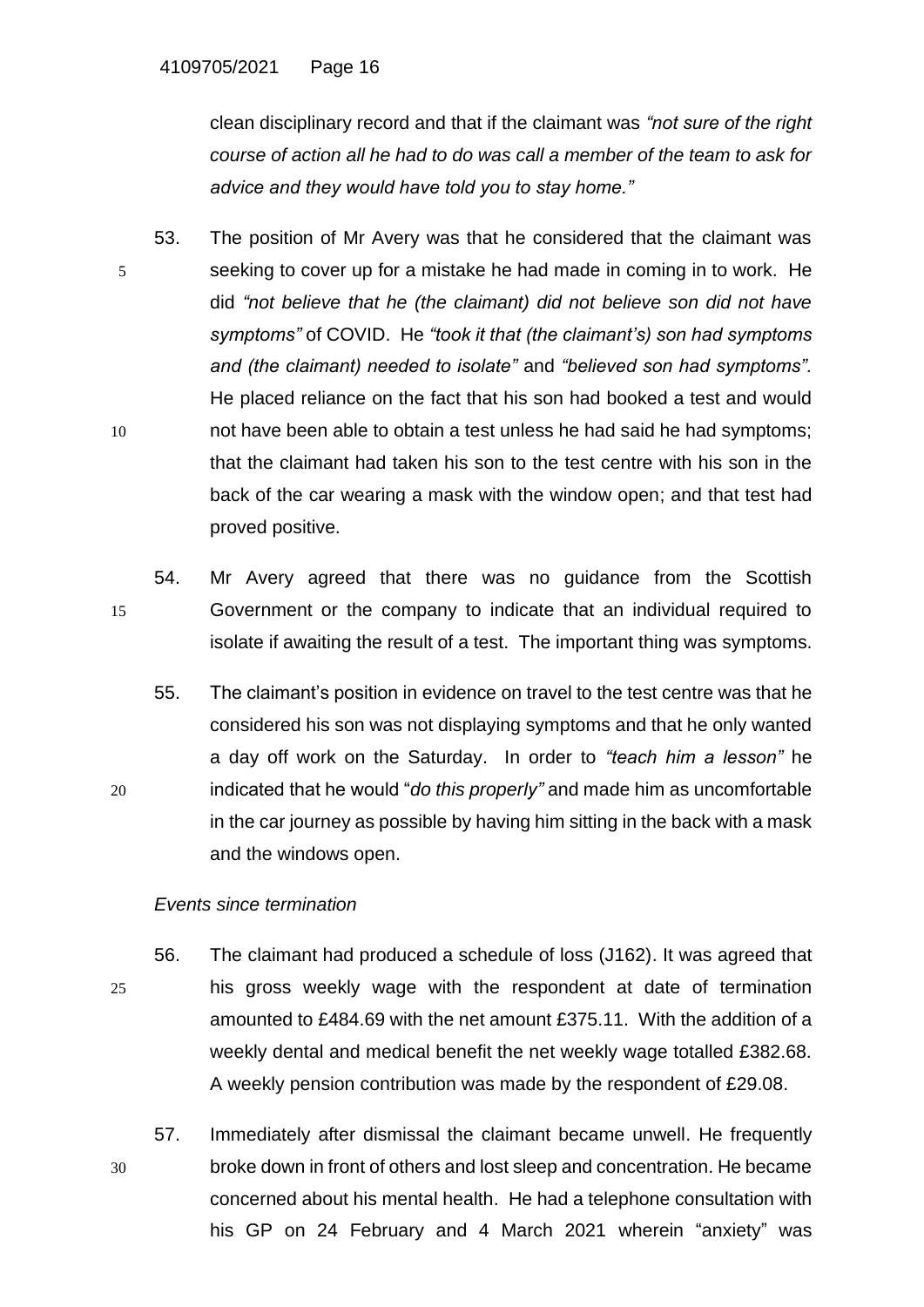clean disciplinary record and that if the claimant was *"not sure of the right course of action all he had to do was call a member of the team to ask for advice and they would have told you to stay home."*

- 53. The position of Mr Avery was that he considered that the claimant was 5 seeking to cover up for a mistake he had made in coming in to work. He did *"not believe that he (the claimant) did not believe son did not have symptoms"* of COVID. He *"took it that (the claimant's) son had symptoms and (the claimant) needed to isolate"* and *"believed son had symptoms".*  He placed reliance on the fact that his son had booked a test and would 10 not have been able to obtain a test unless he had said he had symptoms; that the claimant had taken his son to the test centre with his son in the back of the car wearing a mask with the window open; and that test had proved positive.
- 54. Mr Avery agreed that there was no guidance from the Scottish 15 Government or the company to indicate that an individual required to isolate if awaiting the result of a test. The important thing was symptoms.
- 55. The claimant's position in evidence on travel to the test centre was that he considered his son was not displaying symptoms and that he only wanted a day off work on the Saturday. In order to *"teach him a lesson"* he 20 indicated that he would "*do this properly"* and made him as uncomfortable in the car journey as possible by having him sitting in the back with a mask and the windows open.

## *Events since termination*

- 56. The claimant had produced a schedule of loss (J162). It was agreed that 25 his gross weekly wage with the respondent at date of termination amounted to £484.69 with the net amount £375.11. With the addition of a weekly dental and medical benefit the net weekly wage totalled £382.68. A weekly pension contribution was made by the respondent of £29.08.
- 57. Immediately after dismissal the claimant became unwell. He frequently 30 broke down in front of others and lost sleep and concentration. He became concerned about his mental health. He had a telephone consultation with his GP on 24 February and 4 March 2021 wherein "anxiety" was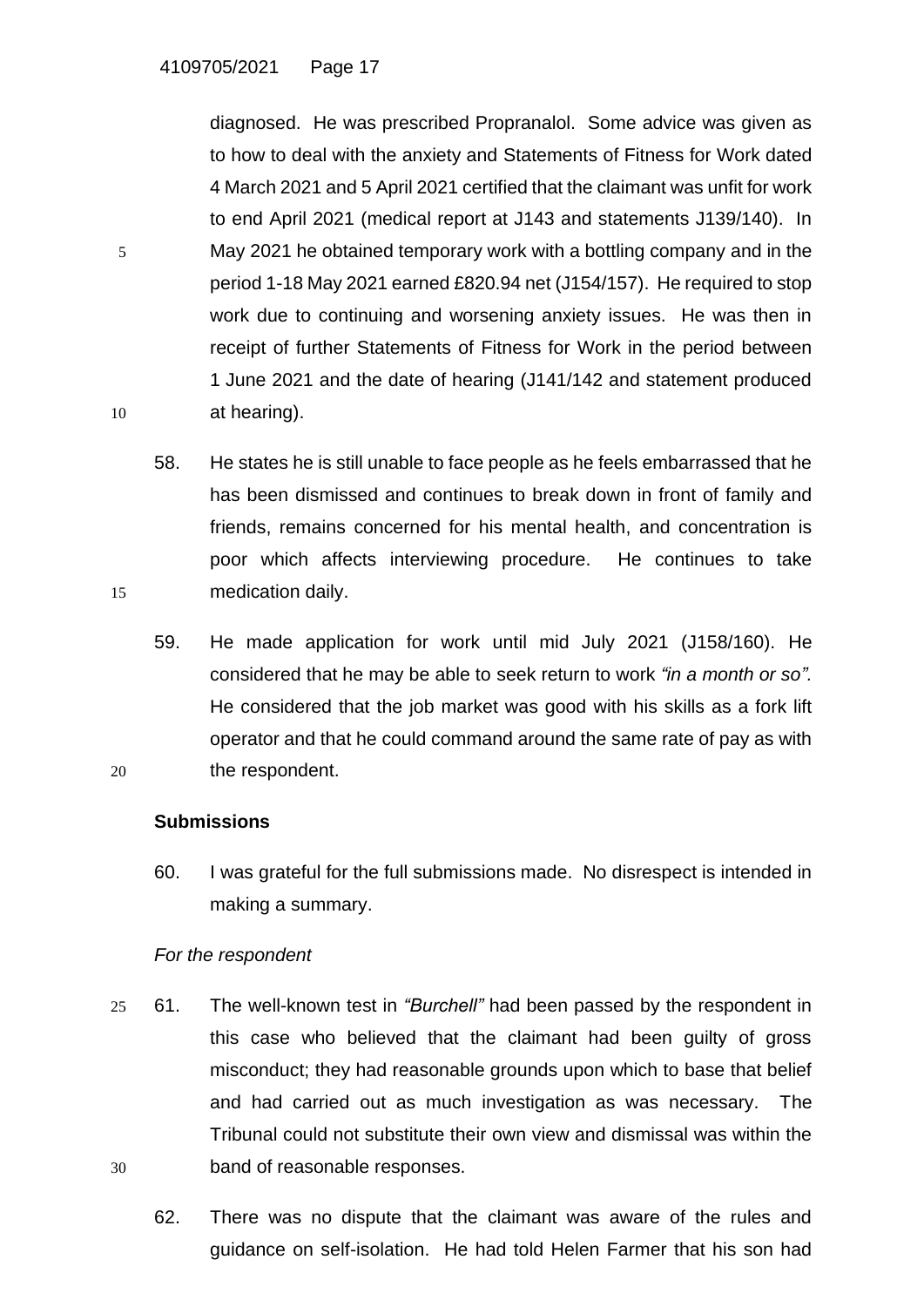diagnosed. He was prescribed Propranalol. Some advice was given as to how to deal with the anxiety and Statements of Fitness for Work dated 4 March 2021 and 5 April 2021 certified that the claimant was unfit for work to end April 2021 (medical report at J143 and statements J139/140). In 5 May 2021 he obtained temporary work with a bottling company and in the period 1-18 May 2021 earned £820.94 net (J154/157). He required to stop work due to continuing and worsening anxiety issues. He was then in receipt of further Statements of Fitness for Work in the period between 1 June 2021 and the date of hearing (J141/142 and statement produced 10 at hearing).

- 58. He states he is still unable to face people as he feels embarrassed that he has been dismissed and continues to break down in front of family and friends, remains concerned for his mental health, and concentration is poor which affects interviewing procedure. He continues to take 15 medication daily.
- 59. He made application for work until mid July 2021 (J158/160). He considered that he may be able to seek return to work *"in a month or so".* He considered that the job market was good with his skills as a fork lift operator and that he could command around the same rate of pay as with 20 the respondent.

## **Submissions**

60. I was grateful for the full submissions made. No disrespect is intended in making a summary.

# *For the respondent*

- 25 61. The well-known test in *"Burchell"* had been passed by the respondent in this case who believed that the claimant had been guilty of gross misconduct; they had reasonable grounds upon which to base that belief and had carried out as much investigation as was necessary. The Tribunal could not substitute their own view and dismissal was within the 30 band of reasonable responses.
	- 62. There was no dispute that the claimant was aware of the rules and guidance on self-isolation. He had told Helen Farmer that his son had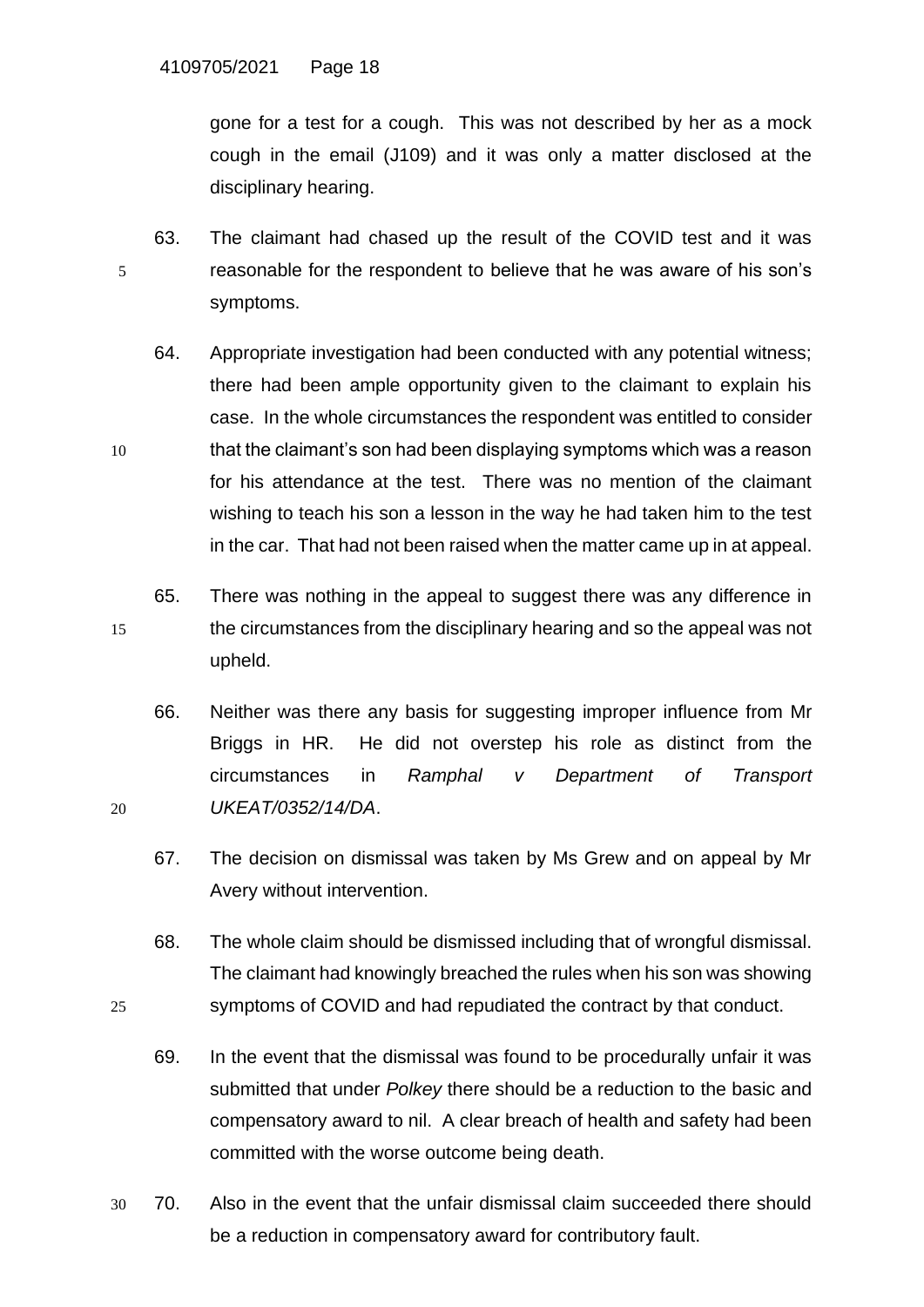gone for a test for a cough. This was not described by her as a mock cough in the email (J109) and it was only a matter disclosed at the disciplinary hearing.

- 63. The claimant had chased up the result of the COVID test and it was 5 reasonable for the respondent to believe that he was aware of his son's symptoms.
- 64. Appropriate investigation had been conducted with any potential witness; there had been ample opportunity given to the claimant to explain his case. In the whole circumstances the respondent was entitled to consider 10 that the claimant's son had been displaying symptoms which was a reason for his attendance at the test. There was no mention of the claimant wishing to teach his son a lesson in the way he had taken him to the test in the car. That had not been raised when the matter came up in at appeal.
- 65. There was nothing in the appeal to suggest there was any difference in 15 the circumstances from the disciplinary hearing and so the appeal was not upheld.
- 66. Neither was there any basis for suggesting improper influence from Mr Briggs in HR. He did not overstep his role as distinct from the circumstances in *Ramphal v Department of Transport*  20 *UKEAT/0352/14/DA*.
	- 67. The decision on dismissal was taken by Ms Grew and on appeal by Mr Avery without intervention.
- 68. The whole claim should be dismissed including that of wrongful dismissal. The claimant had knowingly breached the rules when his son was showing 25 symptoms of COVID and had repudiated the contract by that conduct.
	- 69. In the event that the dismissal was found to be procedurally unfair it was submitted that under *Polkey* there should be a reduction to the basic and compensatory award to nil. A clear breach of health and safety had been committed with the worse outcome being death.
- 30 70. Also in the event that the unfair dismissal claim succeeded there should be a reduction in compensatory award for contributory fault.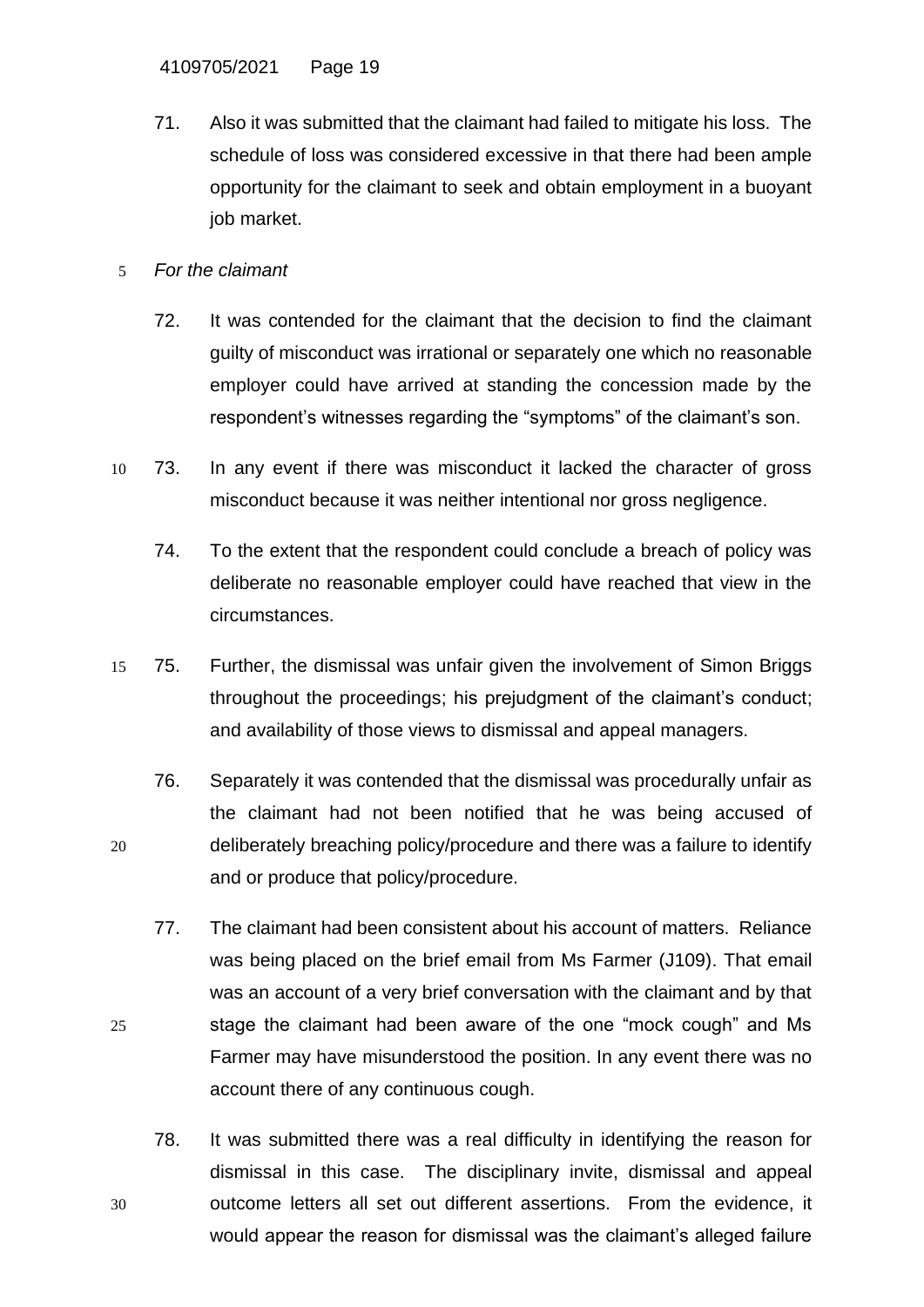- 71. Also it was submitted that the claimant had failed to mitigate his loss. The schedule of loss was considered excessive in that there had been ample opportunity for the claimant to seek and obtain employment in a buoyant job market.
- 5 *For the claimant*
	- 72. It was contended for the claimant that the decision to find the claimant guilty of misconduct was irrational or separately one which no reasonable employer could have arrived at standing the concession made by the respondent's witnesses regarding the "symptoms" of the claimant's son.
- 10 73. In any event if there was misconduct it lacked the character of gross misconduct because it was neither intentional nor gross negligence.
	- 74. To the extent that the respondent could conclude a breach of policy was deliberate no reasonable employer could have reached that view in the circumstances.
- 15 75. Further, the dismissal was unfair given the involvement of Simon Briggs throughout the proceedings; his prejudgment of the claimant's conduct; and availability of those views to dismissal and appeal managers.
- 76. Separately it was contended that the dismissal was procedurally unfair as the claimant had not been notified that he was being accused of 20 deliberately breaching policy/procedure and there was a failure to identify and or produce that policy/procedure.
- 77. The claimant had been consistent about his account of matters. Reliance was being placed on the brief email from Ms Farmer (J109). That email was an account of a very brief conversation with the claimant and by that 25 stage the claimant had been aware of the one "mock cough" and Ms Farmer may have misunderstood the position. In any event there was no account there of any continuous cough.
- 78. It was submitted there was a real difficulty in identifying the reason for dismissal in this case. The disciplinary invite, dismissal and appeal 30 outcome letters all set out different assertions. From the evidence, it would appear the reason for dismissal was the claimant's alleged failure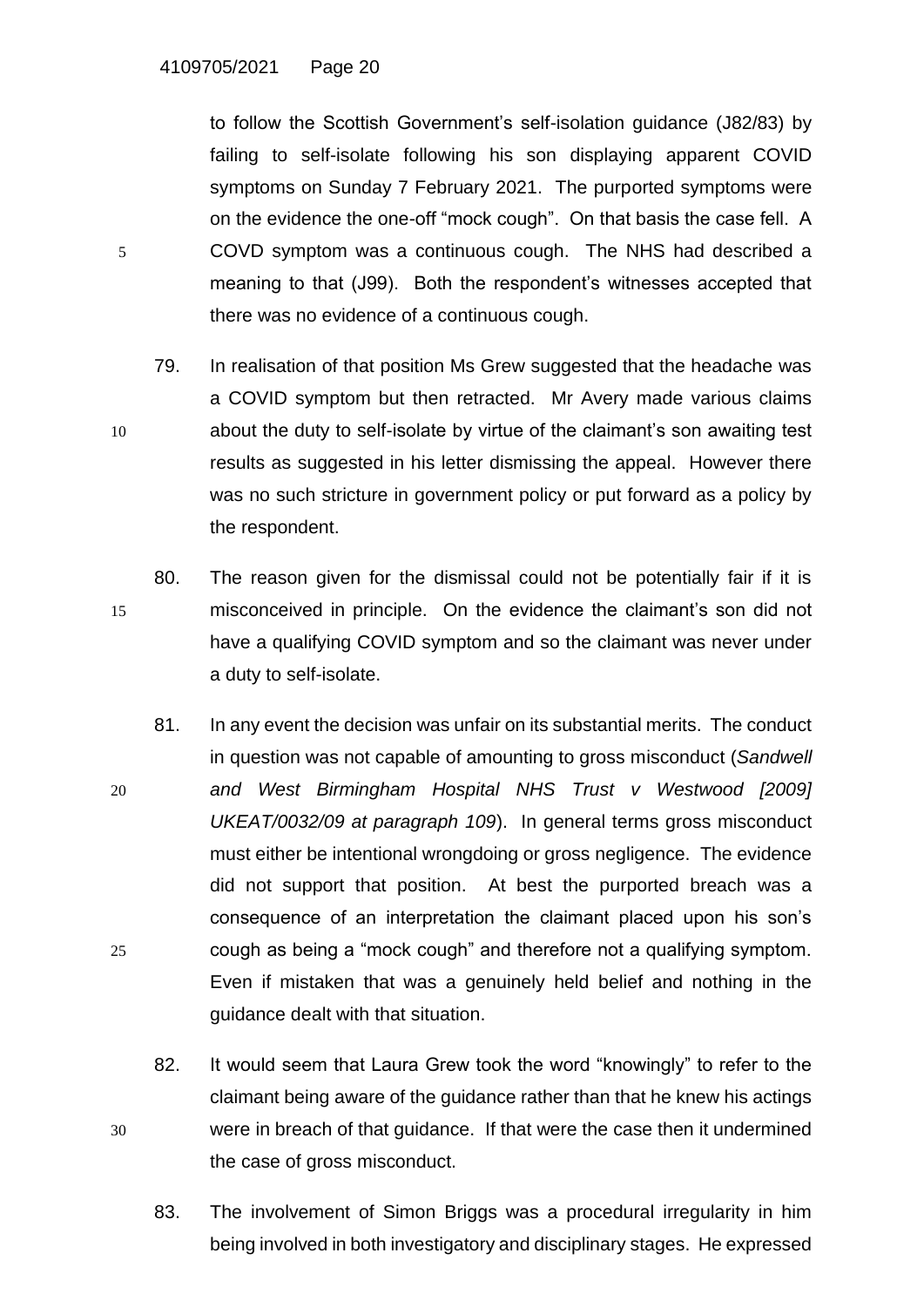to follow the Scottish Government's self-isolation guidance (J82/83) by failing to self-isolate following his son displaying apparent COVID symptoms on Sunday 7 February 2021. The purported symptoms were on the evidence the one-off "mock cough". On that basis the case fell. A 5 COVD symptom was a continuous cough. The NHS had described a meaning to that (J99). Both the respondent's witnesses accepted that there was no evidence of a continuous cough.

- 79. In realisation of that position Ms Grew suggested that the headache was a COVID symptom but then retracted. Mr Avery made various claims 10 about the duty to self-isolate by virtue of the claimant's son awaiting test results as suggested in his letter dismissing the appeal. However there was no such stricture in government policy or put forward as a policy by the respondent.
- 80. The reason given for the dismissal could not be potentially fair if it is 15 misconceived in principle. On the evidence the claimant's son did not have a qualifying COVID symptom and so the claimant was never under a duty to self-isolate.
- 81. In any event the decision was unfair on its substantial merits. The conduct in question was not capable of amounting to gross misconduct (*Sandwell*  20 *and West Birmingham Hospital NHS Trust v Westwood [2009] UKEAT/0032/09 at paragraph 109*). In general terms gross misconduct must either be intentional wrongdoing or gross negligence. The evidence did not support that position. At best the purported breach was a consequence of an interpretation the claimant placed upon his son's 25 cough as being a "mock cough" and therefore not a qualifying symptom. Even if mistaken that was a genuinely held belief and nothing in the guidance dealt with that situation.
- 82. It would seem that Laura Grew took the word "knowingly" to refer to the claimant being aware of the guidance rather than that he knew his actings 30 were in breach of that guidance. If that were the case then it undermined the case of gross misconduct.
	- 83. The involvement of Simon Briggs was a procedural irregularity in him being involved in both investigatory and disciplinary stages. He expressed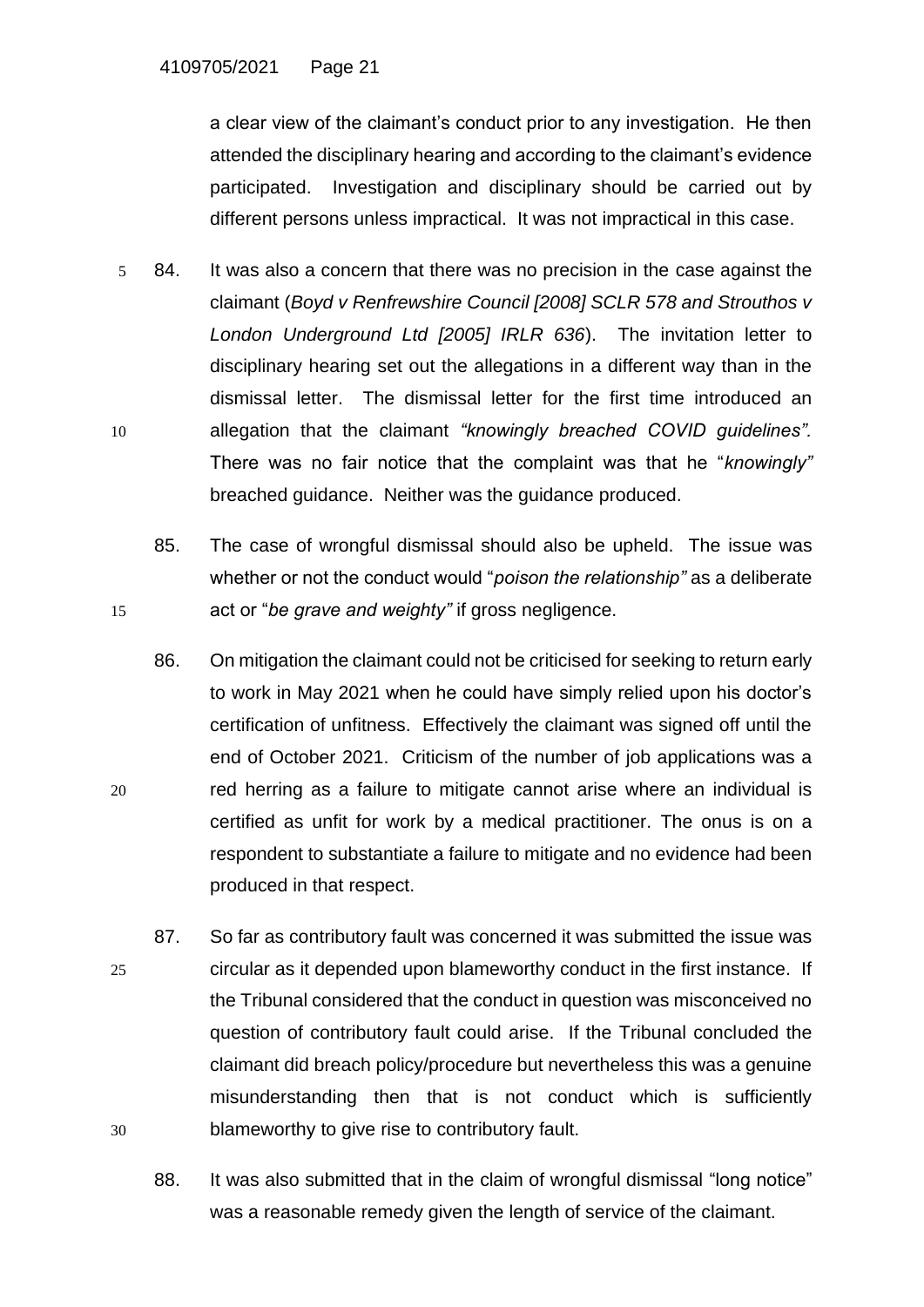a clear view of the claimant's conduct prior to any investigation. He then attended the disciplinary hearing and according to the claimant's evidence participated. Investigation and disciplinary should be carried out by different persons unless impractical. It was not impractical in this case.

- 5 84. It was also a concern that there was no precision in the case against the claimant (*Boyd v Renfrewshire Council [2008] SCLR 578 and Strouthos v London Underground Ltd [2005] IRLR 636*). The invitation letter to disciplinary hearing set out the allegations in a different way than in the dismissal letter. The dismissal letter for the first time introduced an 10 allegation that the claimant *"knowingly breached COVID guidelines".*  There was no fair notice that the complaint was that he "*knowingly"* breached guidance. Neither was the guidance produced.
- 85. The case of wrongful dismissal should also be upheld. The issue was whether or not the conduct would "*poison the relationship"* as a deliberate 15 act or "*be grave and weighty"* if gross negligence.
- 86. On mitigation the claimant could not be criticised for seeking to return early to work in May 2021 when he could have simply relied upon his doctor's certification of unfitness. Effectively the claimant was signed off until the end of October 2021. Criticism of the number of job applications was a 20 red herring as a failure to mitigate cannot arise where an individual is certified as unfit for work by a medical practitioner. The onus is on a respondent to substantiate a failure to mitigate and no evidence had been produced in that respect.
- 87. So far as contributory fault was concerned it was submitted the issue was 25 circular as it depended upon blameworthy conduct in the first instance. If the Tribunal considered that the conduct in question was misconceived no question of contributory fault could arise. If the Tribunal concluded the claimant did breach policy/procedure but nevertheless this was a genuine misunderstanding then that is not conduct which is sufficiently 30 blameworthy to give rise to contributory fault.
	- 88. It was also submitted that in the claim of wrongful dismissal "long notice" was a reasonable remedy given the length of service of the claimant.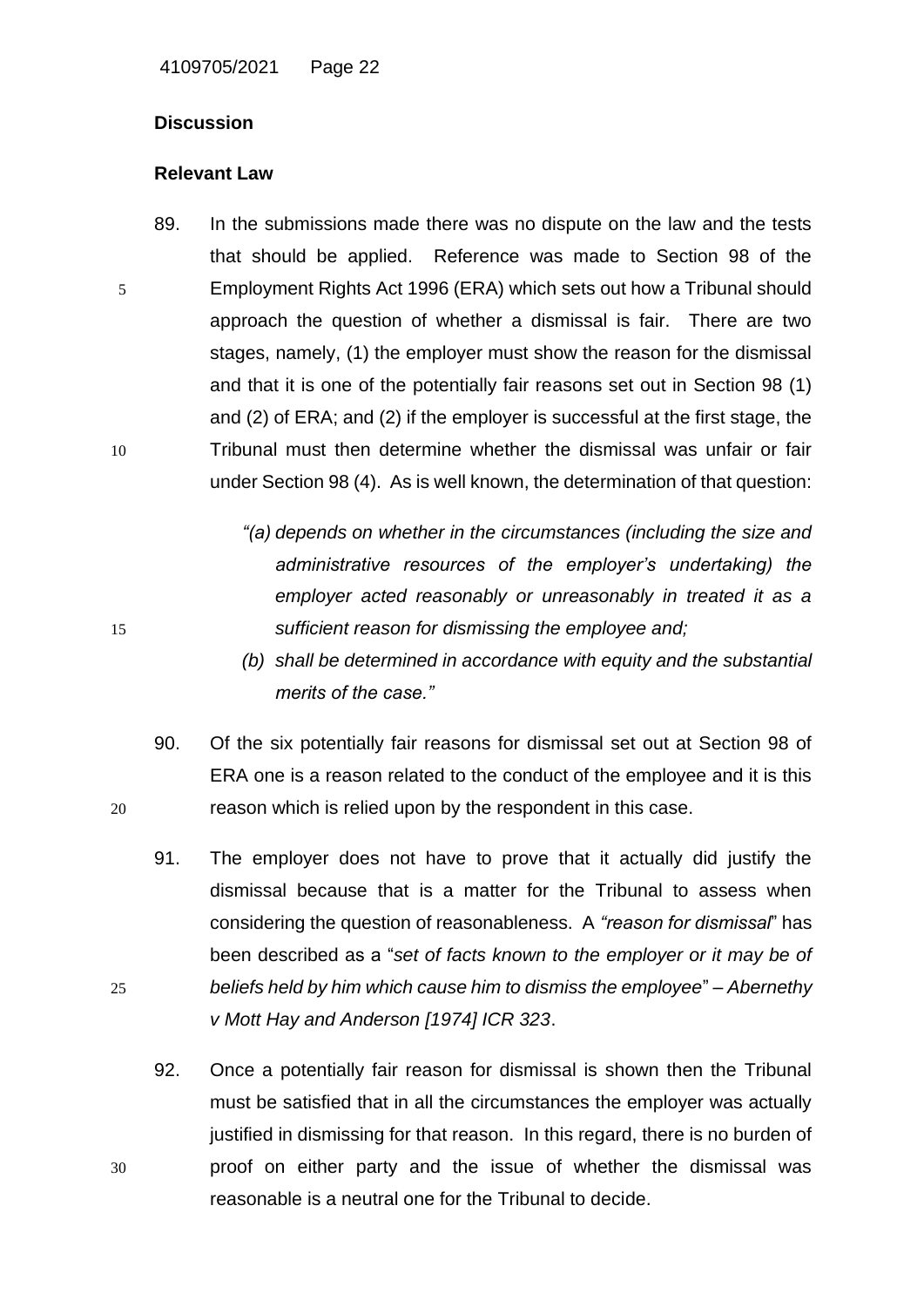#### **Discussion**

#### **Relevant Law**

- 89. In the submissions made there was no dispute on the law and the tests that should be applied. Reference was made to Section 98 of the 5 Employment Rights Act 1996 (ERA) which sets out how a Tribunal should approach the question of whether a dismissal is fair. There are two stages, namely, (1) the employer must show the reason for the dismissal and that it is one of the potentially fair reasons set out in Section 98 (1) and (2) of ERA; and (2) if the employer is successful at the first stage, the 10 Tribunal must then determine whether the dismissal was unfair or fair under Section 98 (4). As is well known, the determination of that question:
- *"(a) depends on whether in the circumstances (including the size and administrative resources of the employer's undertaking) the employer acted reasonably or unreasonably in treated it as a*  15 *sufficient reason for dismissing the employee and;*
	- *(b) shall be determined in accordance with equity and the substantial merits of the case."*
- 90. Of the six potentially fair reasons for dismissal set out at Section 98 of ERA one is a reason related to the conduct of the employee and it is this 20 reason which is relied upon by the respondent in this case.
- 91. The employer does not have to prove that it actually did justify the dismissal because that is a matter for the Tribunal to assess when considering the question of reasonableness. A *"reason for dismissal*" has been described as a "*set of facts known to the employer or it may be of*  25 *beliefs held by him which cause him to dismiss the employee*" – *Abernethy v Mott Hay and Anderson [1974] ICR 323*.
- 92. Once a potentially fair reason for dismissal is shown then the Tribunal must be satisfied that in all the circumstances the employer was actually justified in dismissing for that reason. In this regard, there is no burden of 30 proof on either party and the issue of whether the dismissal was reasonable is a neutral one for the Tribunal to decide.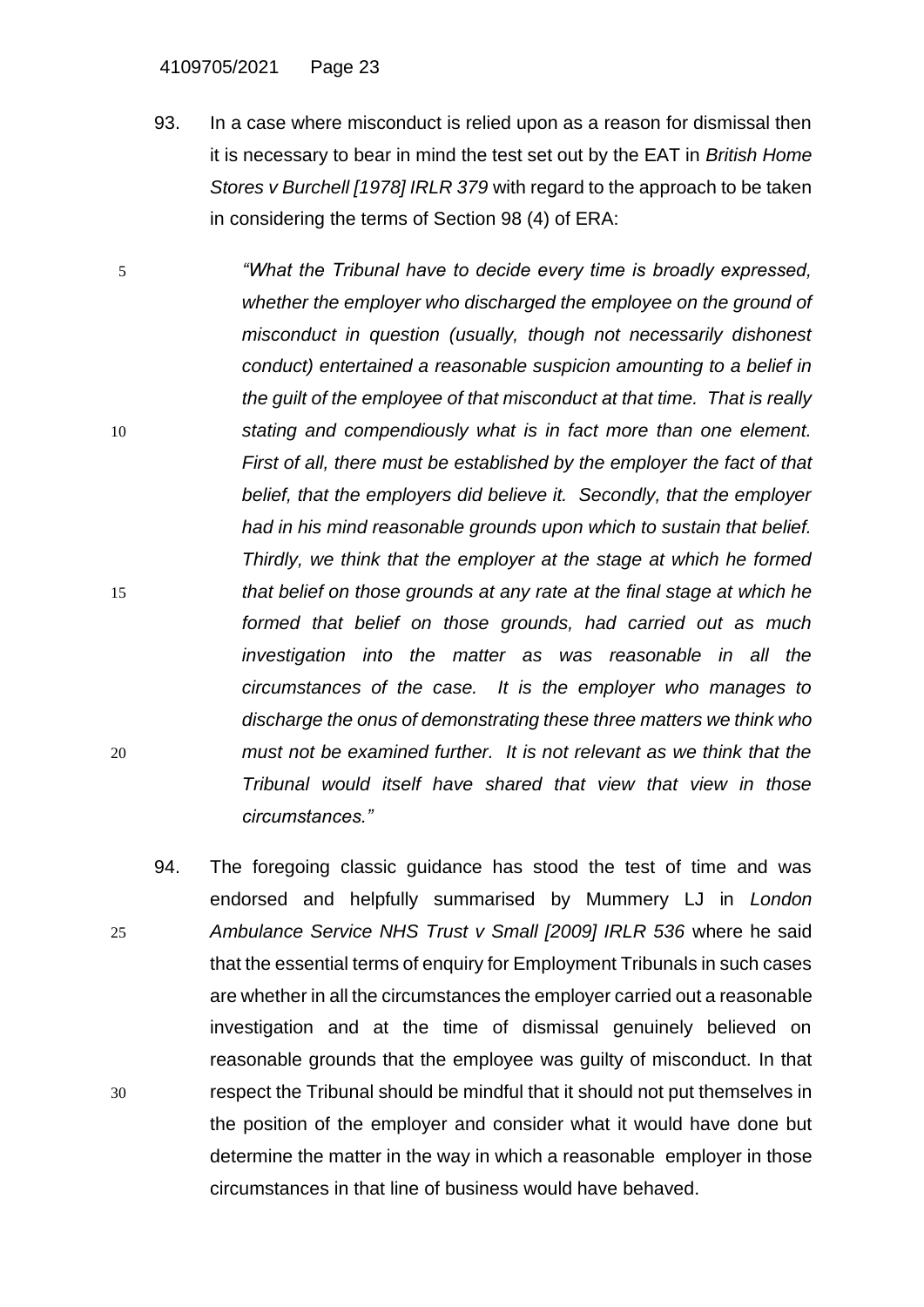#### 4109705/2021 Page 23

- 93. In a case where misconduct is relied upon as a reason for dismissal then it is necessary to bear in mind the test set out by the EAT in *British Home Stores v Burchell [1978] IRLR 379* with regard to the approach to be taken in considering the terms of Section 98 (4) of ERA:
- 5 *"What the Tribunal have to decide every time is broadly expressed, whether the employer who discharged the employee on the ground of misconduct in question (usually, though not necessarily dishonest conduct) entertained a reasonable suspicion amounting to a belief in the guilt of the employee of that misconduct at that time. That is really*  10 *stating and compendiously what is in fact more than one element. First of all, there must be established by the employer the fact of that belief, that the employers did believe it. Secondly, that the employer had in his mind reasonable grounds upon which to sustain that belief. Thirdly, we think that the employer at the stage at which he formed*  15 *that belief on those grounds at any rate at the final stage at which he formed that belief on those grounds, had carried out as much investigation into the matter as was reasonable in all the circumstances of the case. It is the employer who manages to discharge the onus of demonstrating these three matters we think who*  20 *must not be examined further. It is not relevant as we think that the Tribunal would itself have shared that view that view in those circumstances."*
- 94. The foregoing classic guidance has stood the test of time and was endorsed and helpfully summarised by Mummery LJ in *London*  25 *Ambulance Service NHS Trust v Small [2009] IRLR 536* where he said that the essential terms of enquiry for Employment Tribunals in such cases are whether in all the circumstances the employer carried out a reasonable investigation and at the time of dismissal genuinely believed on reasonable grounds that the employee was guilty of misconduct. In that 30 respect the Tribunal should be mindful that it should not put themselves in the position of the employer and consider what it would have done but determine the matter in the way in which a reasonable employer in those circumstances in that line of business would have behaved.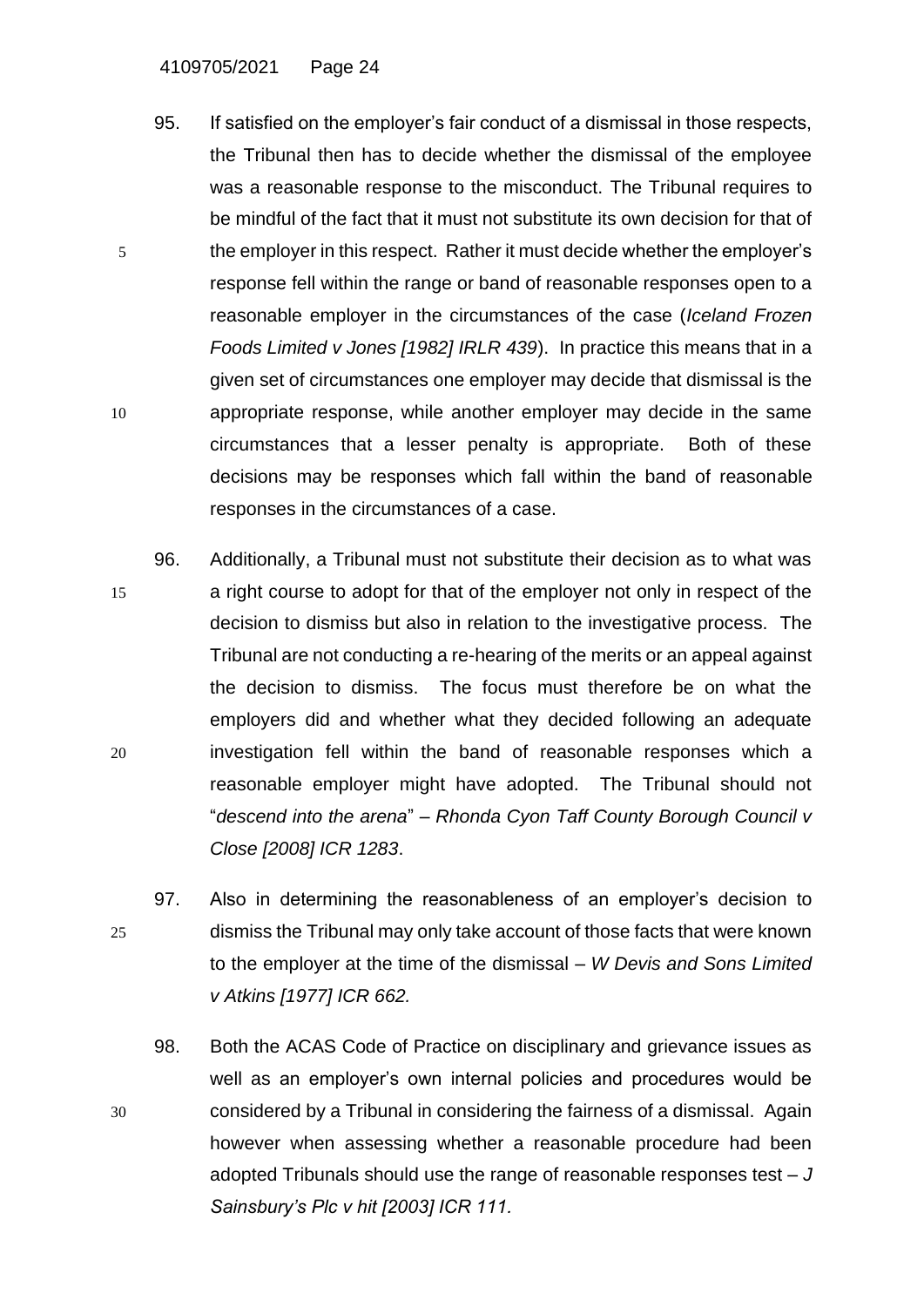- 95. If satisfied on the employer's fair conduct of a dismissal in those respects, the Tribunal then has to decide whether the dismissal of the employee was a reasonable response to the misconduct. The Tribunal requires to be mindful of the fact that it must not substitute its own decision for that of 5 the employer in this respect. Rather it must decide whether the employer's response fell within the range or band of reasonable responses open to a reasonable employer in the circumstances of the case (*Iceland Frozen Foods Limited v Jones [1982] IRLR 439*). In practice this means that in a given set of circumstances one employer may decide that dismissal is the 10 appropriate response, while another employer may decide in the same circumstances that a lesser penalty is appropriate. Both of these decisions may be responses which fall within the band of reasonable responses in the circumstances of a case.
- 96. Additionally, a Tribunal must not substitute their decision as to what was 15 a right course to adopt for that of the employer not only in respect of the decision to dismiss but also in relation to the investigative process. The Tribunal are not conducting a re-hearing of the merits or an appeal against the decision to dismiss. The focus must therefore be on what the employers did and whether what they decided following an adequate 20 investigation fell within the band of reasonable responses which a reasonable employer might have adopted. The Tribunal should not "*descend into the arena*" – *Rhonda Cyon Taff County Borough Council v Close [2008] ICR 1283*.
- 97. Also in determining the reasonableness of an employer's decision to 25 dismiss the Tribunal may only take account of those facts that were known to the employer at the time of the dismissal – *W Devis and Sons Limited v Atkins [1977] ICR 662.*
- 98. Both the ACAS Code of Practice on disciplinary and grievance issues as well as an employer's own internal policies and procedures would be 30 considered by a Tribunal in considering the fairness of a dismissal. Again however when assessing whether a reasonable procedure had been adopted Tribunals should use the range of reasonable responses test – *J Sainsbury's Plc v hit [2003] ICR 111.*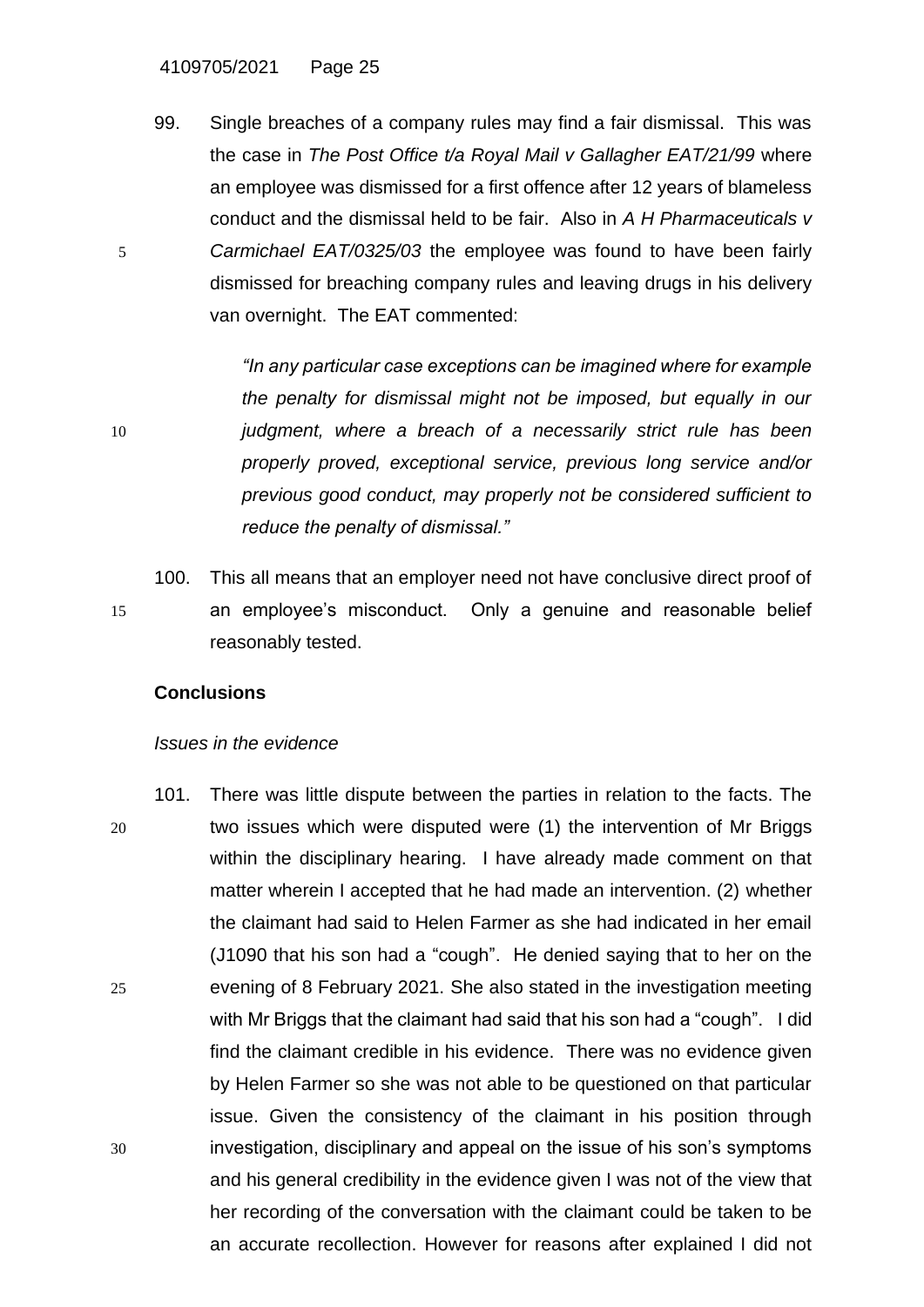99. Single breaches of a company rules may find a fair dismissal. This was the case in *The Post Office t/a Royal Mail v Gallagher EAT/21/99* where an employee was dismissed for a first offence after 12 years of blameless conduct and the dismissal held to be fair. Also in *A H Pharmaceuticals v*  5 *Carmichael EAT/0325/03* the employee was found to have been fairly dismissed for breaching company rules and leaving drugs in his delivery van overnight. The EAT commented:

*"In any particular case exceptions can be imagined where for example the penalty for dismissal might not be imposed, but equally in our*  10 *judgment, where a breach of a necessarily strict rule has been properly proved, exceptional service, previous long service and/or previous good conduct, may properly not be considered sufficient to reduce the penalty of dismissal."*

100. This all means that an employer need not have conclusive direct proof of 15 an employee's misconduct. Only a genuine and reasonable belief reasonably tested.

#### **Conclusions**

#### *Issues in the evidence*

101. There was little dispute between the parties in relation to the facts. The 20 two issues which were disputed were (1) the intervention of Mr Briggs within the disciplinary hearing. I have already made comment on that matter wherein I accepted that he had made an intervention. (2) whether the claimant had said to Helen Farmer as she had indicated in her email (J1090 that his son had a "cough". He denied saying that to her on the 25 evening of 8 February 2021. She also stated in the investigation meeting with Mr Briggs that the claimant had said that his son had a "cough". I did find the claimant credible in his evidence. There was no evidence given by Helen Farmer so she was not able to be questioned on that particular issue. Given the consistency of the claimant in his position through 30 investigation, disciplinary and appeal on the issue of his son's symptoms and his general credibility in the evidence given I was not of the view that her recording of the conversation with the claimant could be taken to be an accurate recollection. However for reasons after explained I did not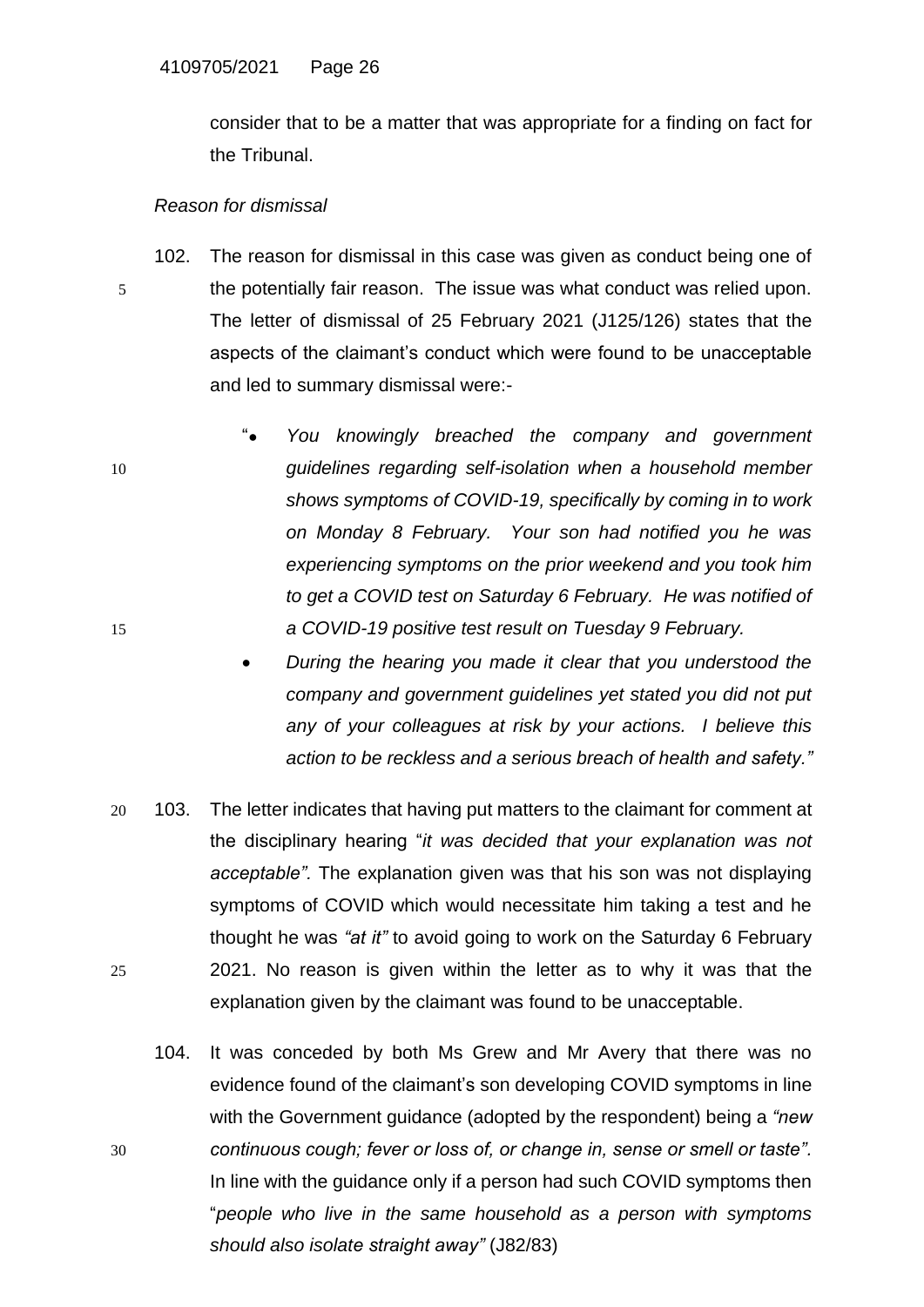consider that to be a matter that was appropriate for a finding on fact for the Tribunal.

#### *Reason for dismissal*

- 102. The reason for dismissal in this case was given as conduct being one of 5 the potentially fair reason. The issue was what conduct was relied upon. The letter of dismissal of 25 February 2021 (J125/126) states that the aspects of the claimant's conduct which were found to be unacceptable and led to summary dismissal were:-
- "● *You knowingly breached the company and government*  10 *guidelines regarding self-isolation when a household member shows symptoms of COVID-19, specifically by coming in to work on Monday 8 February. Your son had notified you he was experiencing symptoms on the prior weekend and you took him to get a COVID test on Saturday 6 February. He was notified of*  15 *a COVID-19 positive test result on Tuesday 9 February.*
	- *During the hearing you made it clear that you understood the company and government guidelines yet stated you did not put any of your colleagues at risk by your actions. I believe this action to be reckless and a serious breach of health and safety."*
- 20 103. The letter indicates that having put matters to the claimant for comment at the disciplinary hearing "*it was decided that your explanation was not acceptable".* The explanation given was that his son was not displaying symptoms of COVID which would necessitate him taking a test and he thought he was *"at it"* to avoid going to work on the Saturday 6 February 25 2021. No reason is given within the letter as to why it was that the explanation given by the claimant was found to be unacceptable.
- 104. It was conceded by both Ms Grew and Mr Avery that there was no evidence found of the claimant's son developing COVID symptoms in line with the Government guidance (adopted by the respondent) being a *"new*  30 *continuous cough; fever or loss of, or change in, sense or smell or taste".* In line with the guidance only if a person had such COVID symptoms then "*people who live in the same household as a person with symptoms should also isolate straight away"* (J82/83)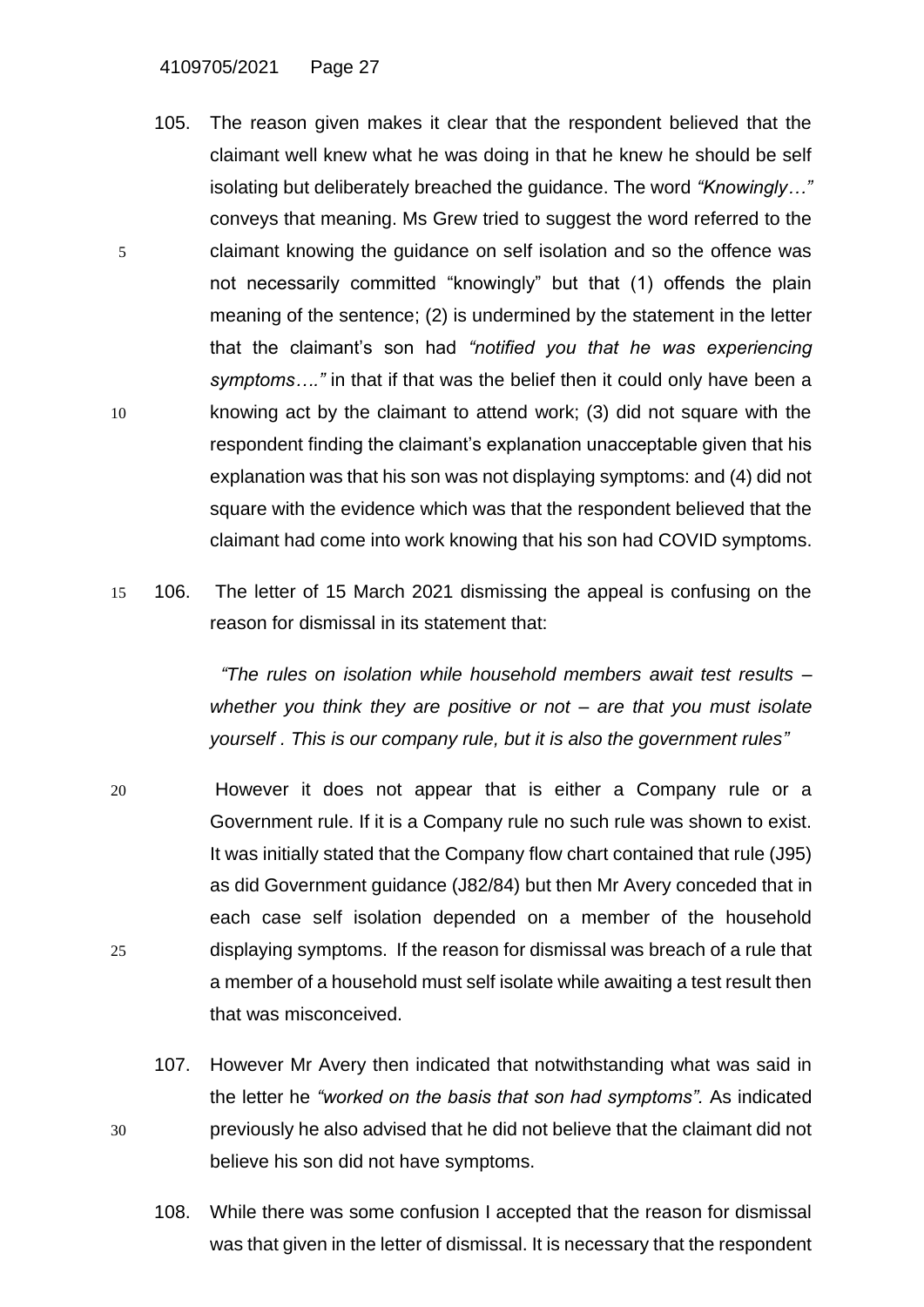- 105. The reason given makes it clear that the respondent believed that the claimant well knew what he was doing in that he knew he should be self isolating but deliberately breached the guidance. The word *"Knowingly…"* conveys that meaning. Ms Grew tried to suggest the word referred to the 5 claimant knowing the guidance on self isolation and so the offence was not necessarily committed "knowingly" but that (1) offends the plain meaning of the sentence; (2) is undermined by the statement in the letter that the claimant's son had *"notified you that he was experiencing symptoms…."* in that if that was the belief then it could only have been a 10 knowing act by the claimant to attend work; (3) did not square with the respondent finding the claimant's explanation unacceptable given that his explanation was that his son was not displaying symptoms: and (4) did not square with the evidence which was that the respondent believed that the claimant had come into work knowing that his son had COVID symptoms.
- 15 106. The letter of 15 March 2021 dismissing the appeal is confusing on the reason for dismissal in its statement that:

*"The rules on isolation while household members await test results – whether you think they are positive or not – are that you must isolate yourself . This is our company rule, but it is also the government rules"*

- 20 However it does not appear that is either a Company rule or a Government rule. If it is a Company rule no such rule was shown to exist. It was initially stated that the Company flow chart contained that rule (J95) as did Government guidance (J82/84) but then Mr Avery conceded that in each case self isolation depended on a member of the household 25 displaying symptoms. If the reason for dismissal was breach of a rule that a member of a household must self isolate while awaiting a test result then that was misconceived.
- 107. However Mr Avery then indicated that notwithstanding what was said in the letter he *"worked on the basis that son had symptoms".* As indicated 30 previously he also advised that he did not believe that the claimant did not believe his son did not have symptoms.
	- 108. While there was some confusion I accepted that the reason for dismissal was that given in the letter of dismissal. It is necessary that the respondent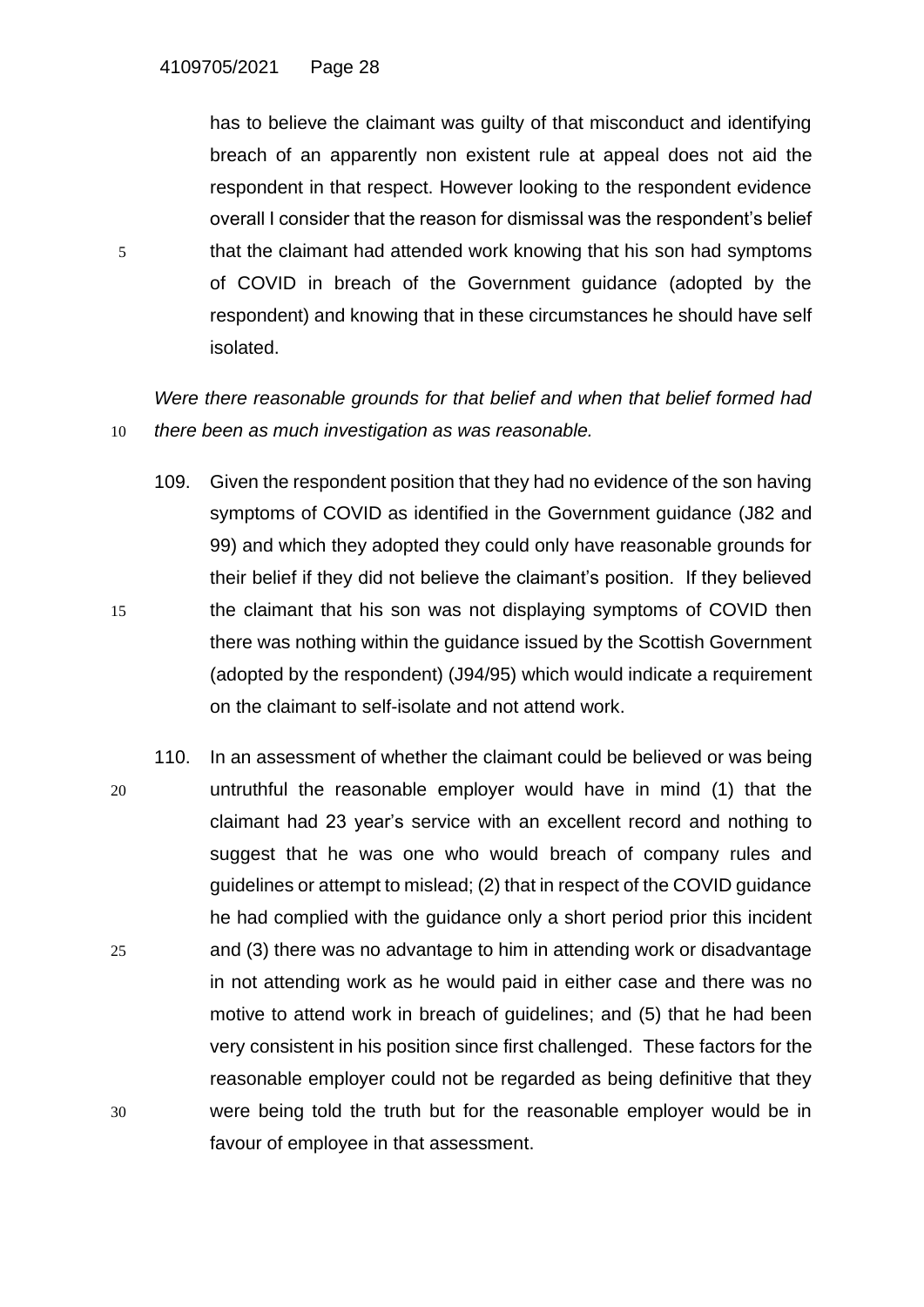has to believe the claimant was guilty of that misconduct and identifying breach of an apparently non existent rule at appeal does not aid the respondent in that respect. However looking to the respondent evidence overall I consider that the reason for dismissal was the respondent's belief 5 that the claimant had attended work knowing that his son had symptoms of COVID in breach of the Government guidance (adopted by the respondent) and knowing that in these circumstances he should have self isolated.

*Were there reasonable grounds for that belief and when that belief formed had*  10 *there been as much investigation as was reasonable.* 

- 109. Given the respondent position that they had no evidence of the son having symptoms of COVID as identified in the Government guidance (J82 and 99) and which they adopted they could only have reasonable grounds for their belief if they did not believe the claimant's position. If they believed 15 the claimant that his son was not displaying symptoms of COVID then there was nothing within the guidance issued by the Scottish Government (adopted by the respondent) (J94/95) which would indicate a requirement on the claimant to self-isolate and not attend work.
- 110. In an assessment of whether the claimant could be believed or was being 20 untruthful the reasonable employer would have in mind (1) that the claimant had 23 year's service with an excellent record and nothing to suggest that he was one who would breach of company rules and guidelines or attempt to mislead; (2) that in respect of the COVID guidance he had complied with the guidance only a short period prior this incident 25 and (3) there was no advantage to him in attending work or disadvantage in not attending work as he would paid in either case and there was no motive to attend work in breach of guidelines; and (5) that he had been very consistent in his position since first challenged. These factors for the reasonable employer could not be regarded as being definitive that they 30 were being told the truth but for the reasonable employer would be in favour of employee in that assessment.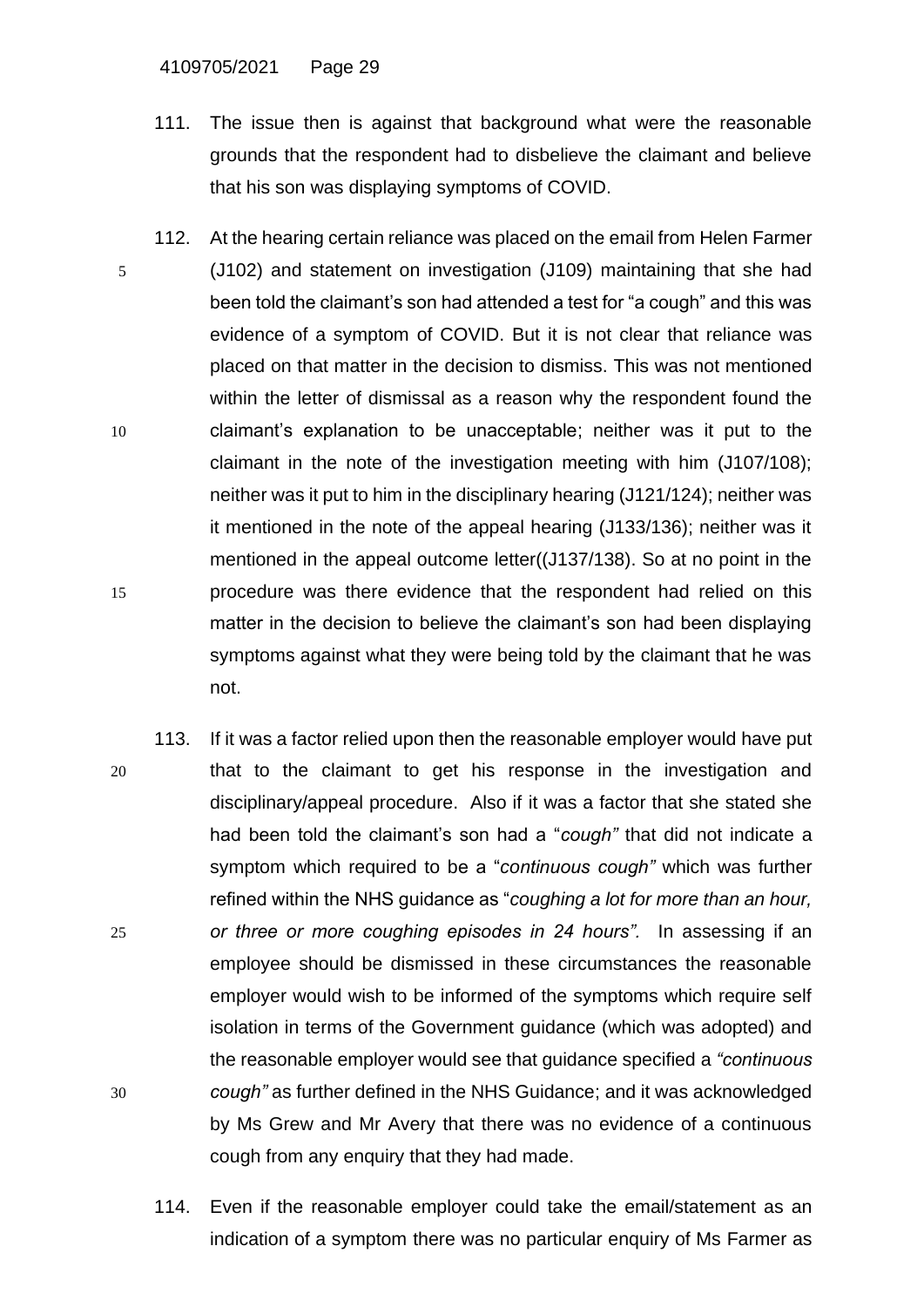4109705/2021 Page 29

- 111. The issue then is against that background what were the reasonable grounds that the respondent had to disbelieve the claimant and believe that his son was displaying symptoms of COVID.
- 112. At the hearing certain reliance was placed on the email from Helen Farmer 5 (J102) and statement on investigation (J109) maintaining that she had been told the claimant's son had attended a test for "a cough" and this was evidence of a symptom of COVID. But it is not clear that reliance was placed on that matter in the decision to dismiss. This was not mentioned within the letter of dismissal as a reason why the respondent found the 10 claimant's explanation to be unacceptable; neither was it put to the claimant in the note of the investigation meeting with him (J107/108); neither was it put to him in the disciplinary hearing (J121/124); neither was it mentioned in the note of the appeal hearing (J133/136); neither was it mentioned in the appeal outcome letter((J137/138). So at no point in the 15 procedure was there evidence that the respondent had relied on this matter in the decision to believe the claimant's son had been displaying symptoms against what they were being told by the claimant that he was not.
- 113. If it was a factor relied upon then the reasonable employer would have put 20 that to the claimant to get his response in the investigation and disciplinary/appeal procedure. Also if it was a factor that she stated she had been told the claimant's son had a "*cough"* that did not indicate a symptom which required to be a "*continuous cough"* which was further refined within the NHS guidance as "*coughing a lot for more than an hour,*  25 *or three or more coughing episodes in 24 hours".* In assessing if an employee should be dismissed in these circumstances the reasonable employer would wish to be informed of the symptoms which require self isolation in terms of the Government guidance (which was adopted) and the reasonable employer would see that guidance specified a *"continuous*  30 *cough"* as further defined in the NHS Guidance; and it was acknowledged by Ms Grew and Mr Avery that there was no evidence of a continuous cough from any enquiry that they had made.
	- 114. Even if the reasonable employer could take the email/statement as an indication of a symptom there was no particular enquiry of Ms Farmer as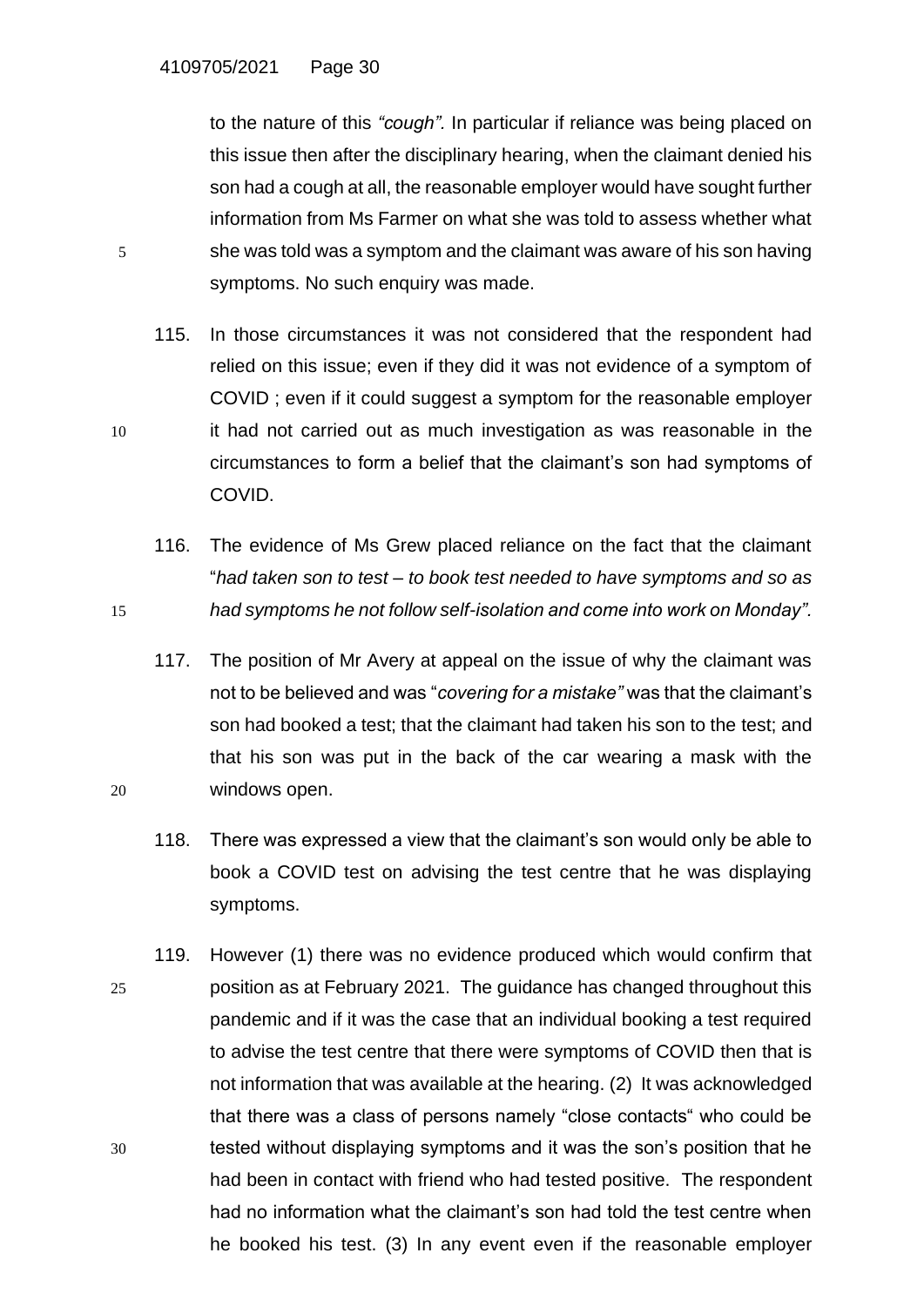to the nature of this *"cough".* In particular if reliance was being placed on this issue then after the disciplinary hearing, when the claimant denied his son had a cough at all, the reasonable employer would have sought further information from Ms Farmer on what she was told to assess whether what 5 she was told was a symptom and the claimant was aware of his son having symptoms. No such enquiry was made.

115. In those circumstances it was not considered that the respondent had relied on this issue; even if they did it was not evidence of a symptom of COVID ; even if it could suggest a symptom for the reasonable employer 10 it had not carried out as much investigation as was reasonable in the circumstances to form a belief that the claimant's son had symptoms of COVID.

116. The evidence of Ms Grew placed reliance on the fact that the claimant "*had taken son to test – to book test needed to have symptoms and so as*  15 *had symptoms he not follow self-isolation and come into work on Monday".*

117. The position of Mr Avery at appeal on the issue of why the claimant was not to be believed and was "*covering for a mistake"* was that the claimant's son had booked a test; that the claimant had taken his son to the test; and that his son was put in the back of the car wearing a mask with the 20 windows open.

118. There was expressed a view that the claimant's son would only be able to book a COVID test on advising the test centre that he was displaying symptoms.

119. However (1) there was no evidence produced which would confirm that 25 position as at February 2021. The guidance has changed throughout this pandemic and if it was the case that an individual booking a test required to advise the test centre that there were symptoms of COVID then that is not information that was available at the hearing. (2) It was acknowledged that there was a class of persons namely "close contacts" who could be 30 tested without displaying symptoms and it was the son's position that he had been in contact with friend who had tested positive. The respondent had no information what the claimant's son had told the test centre when he booked his test. (3) In any event even if the reasonable employer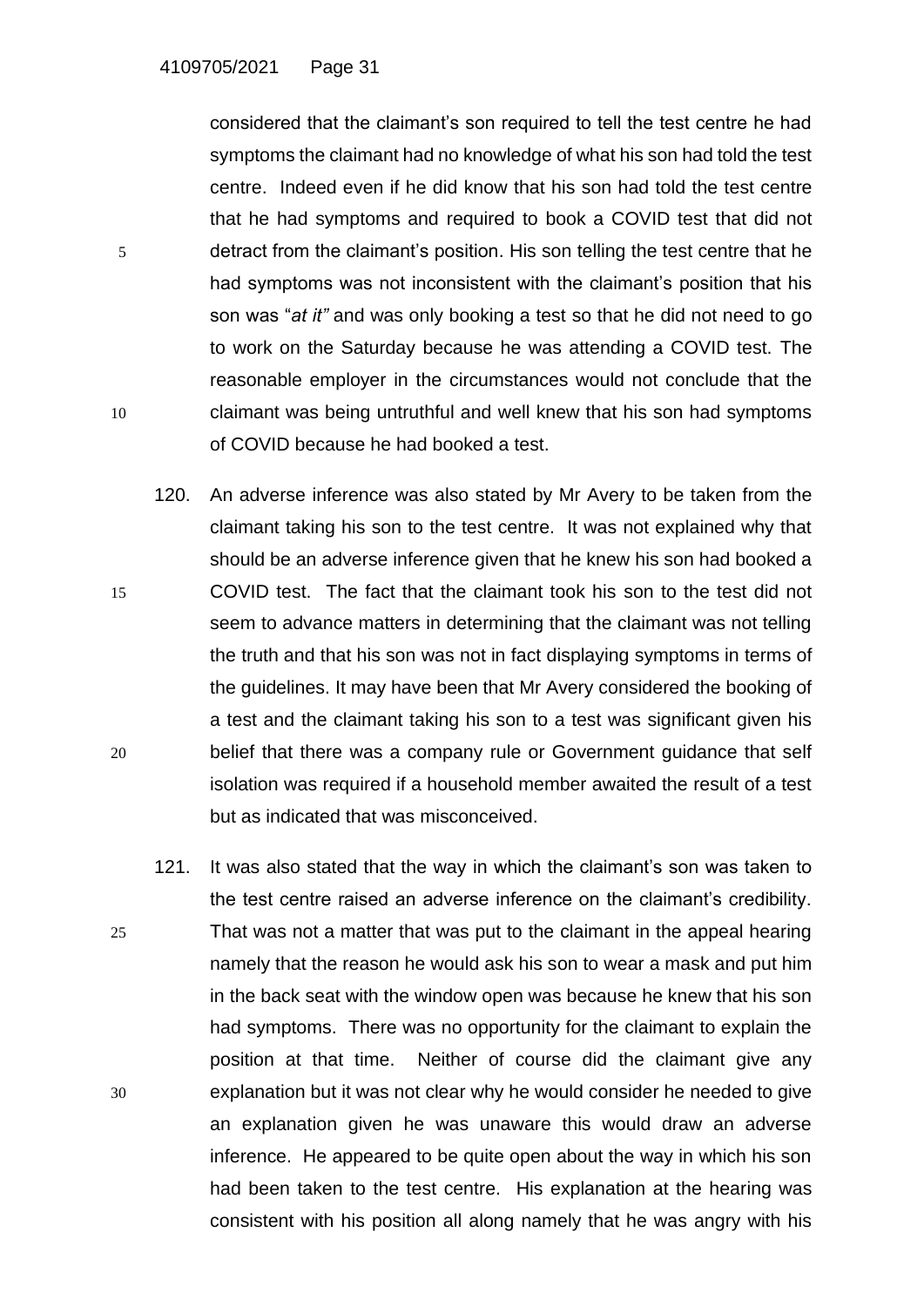considered that the claimant's son required to tell the test centre he had symptoms the claimant had no knowledge of what his son had told the test centre. Indeed even if he did know that his son had told the test centre that he had symptoms and required to book a COVID test that did not 5 detract from the claimant's position. His son telling the test centre that he had symptoms was not inconsistent with the claimant's position that his son was "*at it"* and was only booking a test so that he did not need to go to work on the Saturday because he was attending a COVID test. The reasonable employer in the circumstances would not conclude that the 10 claimant was being untruthful and well knew that his son had symptoms of COVID because he had booked a test.

- 120. An adverse inference was also stated by Mr Avery to be taken from the claimant taking his son to the test centre. It was not explained why that should be an adverse inference given that he knew his son had booked a 15 COVID test. The fact that the claimant took his son to the test did not seem to advance matters in determining that the claimant was not telling the truth and that his son was not in fact displaying symptoms in terms of the guidelines. It may have been that Mr Avery considered the booking of a test and the claimant taking his son to a test was significant given his 20 belief that there was a company rule or Government guidance that self isolation was required if a household member awaited the result of a test but as indicated that was misconceived.
- 121. It was also stated that the way in which the claimant's son was taken to the test centre raised an adverse inference on the claimant's credibility. 25 That was not a matter that was put to the claimant in the appeal hearing namely that the reason he would ask his son to wear a mask and put him in the back seat with the window open was because he knew that his son had symptoms. There was no opportunity for the claimant to explain the position at that time. Neither of course did the claimant give any 30 explanation but it was not clear why he would consider he needed to give an explanation given he was unaware this would draw an adverse inference. He appeared to be quite open about the way in which his son had been taken to the test centre. His explanation at the hearing was consistent with his position all along namely that he was angry with his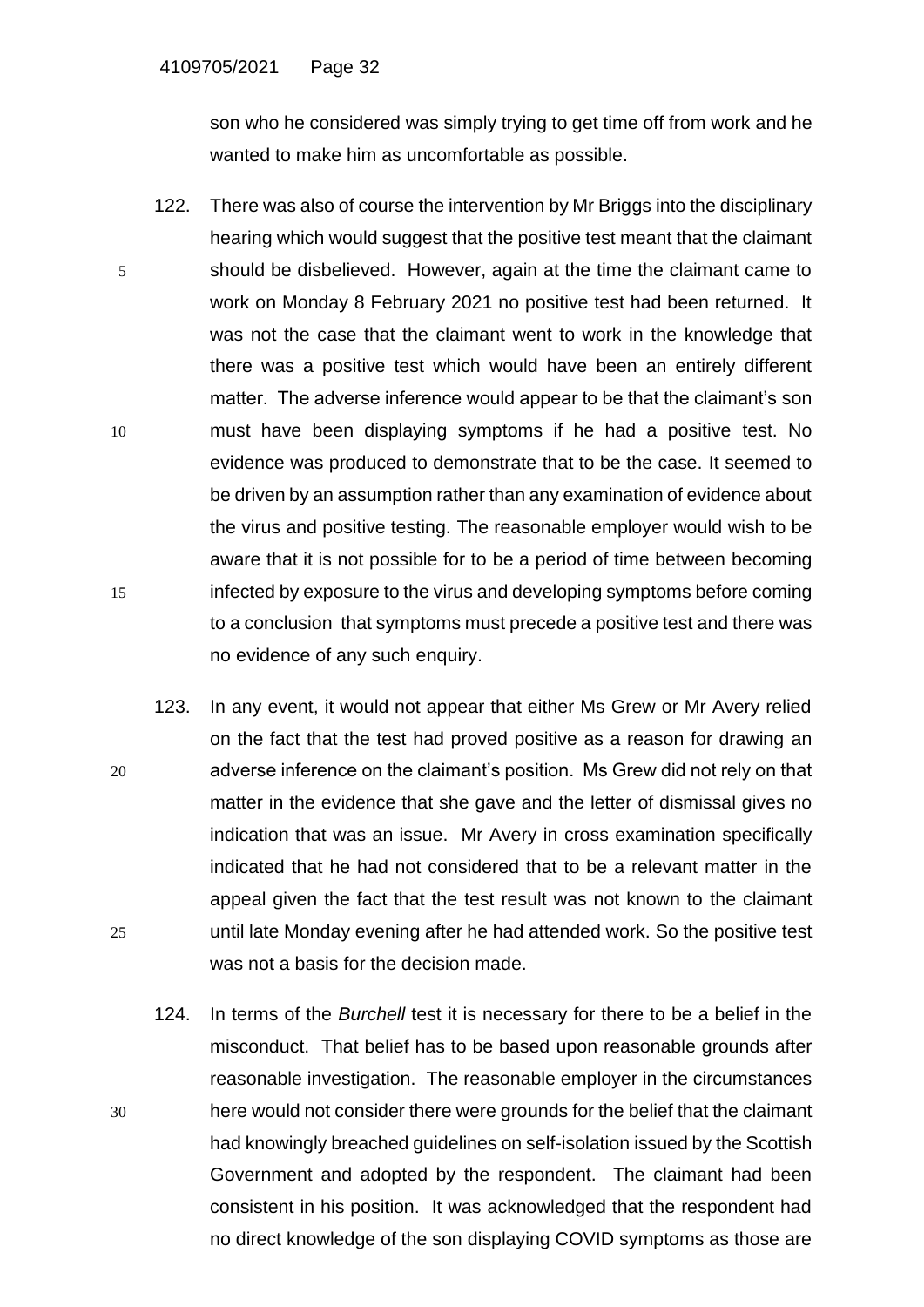son who he considered was simply trying to get time off from work and he wanted to make him as uncomfortable as possible.

- 122. There was also of course the intervention by Mr Briggs into the disciplinary hearing which would suggest that the positive test meant that the claimant 5 should be disbelieved. However, again at the time the claimant came to work on Monday 8 February 2021 no positive test had been returned. It was not the case that the claimant went to work in the knowledge that there was a positive test which would have been an entirely different matter. The adverse inference would appear to be that the claimant's son 10 must have been displaying symptoms if he had a positive test. No evidence was produced to demonstrate that to be the case. It seemed to be driven by an assumption rather than any examination of evidence about the virus and positive testing. The reasonable employer would wish to be aware that it is not possible for to be a period of time between becoming 15 infected by exposure to the virus and developing symptoms before coming to a conclusion that symptoms must precede a positive test and there was no evidence of any such enquiry.
- 123. In any event, it would not appear that either Ms Grew or Mr Avery relied on the fact that the test had proved positive as a reason for drawing an 20 adverse inference on the claimant's position. Ms Grew did not rely on that matter in the evidence that she gave and the letter of dismissal gives no indication that was an issue. Mr Avery in cross examination specifically indicated that he had not considered that to be a relevant matter in the appeal given the fact that the test result was not known to the claimant 25 until late Monday evening after he had attended work. So the positive test was not a basis for the decision made.
- 124. In terms of the *Burchell* test it is necessary for there to be a belief in the misconduct. That belief has to be based upon reasonable grounds after reasonable investigation. The reasonable employer in the circumstances 30 here would not consider there were grounds for the belief that the claimant had knowingly breached guidelines on self-isolation issued by the Scottish Government and adopted by the respondent. The claimant had been consistent in his position. It was acknowledged that the respondent had no direct knowledge of the son displaying COVID symptoms as those are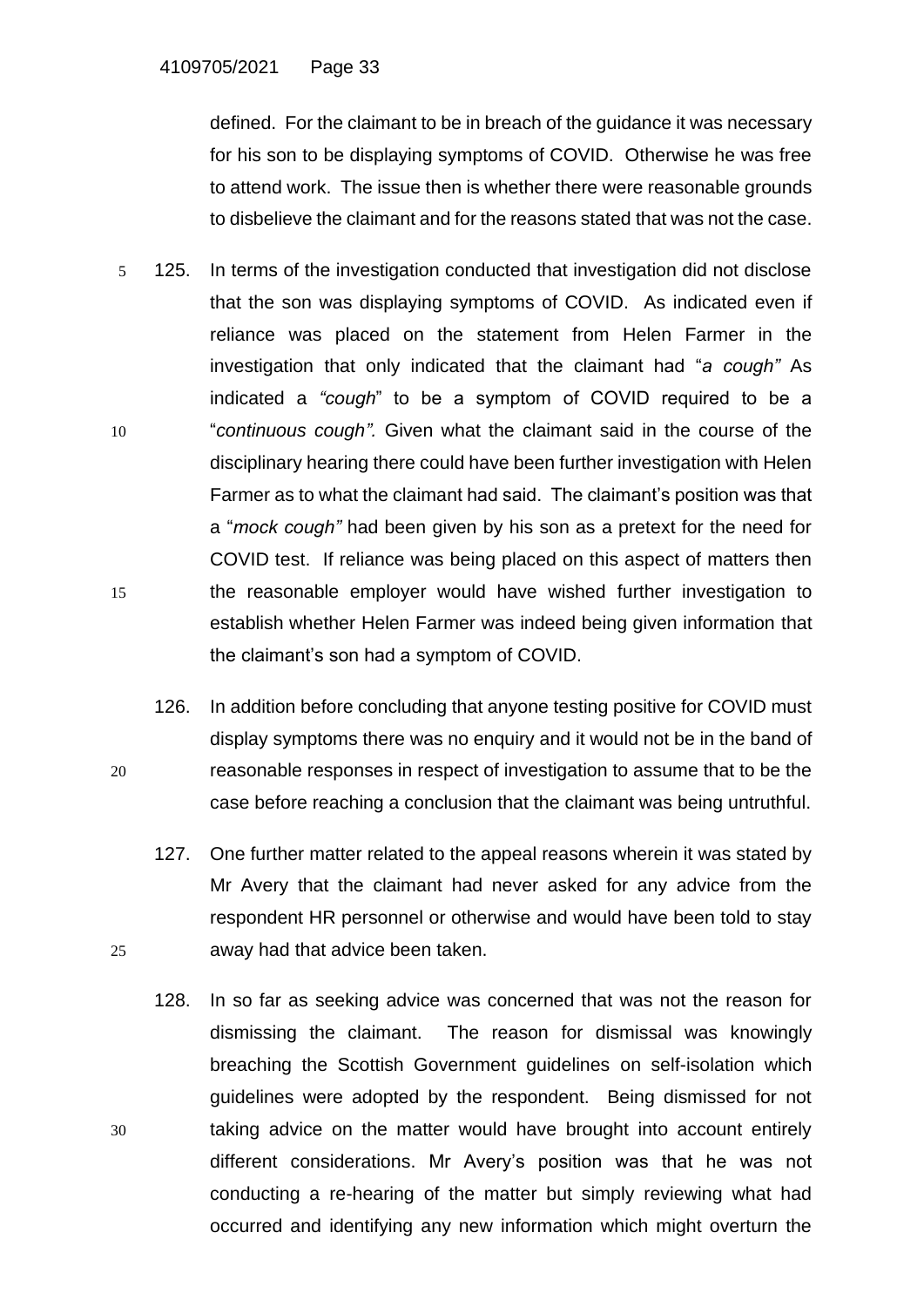defined. For the claimant to be in breach of the guidance it was necessary for his son to be displaying symptoms of COVID. Otherwise he was free to attend work. The issue then is whether there were reasonable grounds to disbelieve the claimant and for the reasons stated that was not the case.

- 5 125. In terms of the investigation conducted that investigation did not disclose that the son was displaying symptoms of COVID. As indicated even if reliance was placed on the statement from Helen Farmer in the investigation that only indicated that the claimant had "*a cough"* As indicated a *"cough*" to be a symptom of COVID required to be a 10 "*continuous cough".* Given what the claimant said in the course of the disciplinary hearing there could have been further investigation with Helen Farmer as to what the claimant had said. The claimant's position was that a "*mock cough"* had been given by his son as a pretext for the need for COVID test. If reliance was being placed on this aspect of matters then 15 the reasonable employer would have wished further investigation to establish whether Helen Farmer was indeed being given information that the claimant's son had a symptom of COVID.
- 126. In addition before concluding that anyone testing positive for COVID must display symptoms there was no enquiry and it would not be in the band of 20 reasonable responses in respect of investigation to assume that to be the case before reaching a conclusion that the claimant was being untruthful.
- 127. One further matter related to the appeal reasons wherein it was stated by Mr Avery that the claimant had never asked for any advice from the respondent HR personnel or otherwise and would have been told to stay 25 away had that advice been taken.
- 128. In so far as seeking advice was concerned that was not the reason for dismissing the claimant. The reason for dismissal was knowingly breaching the Scottish Government guidelines on self-isolation which guidelines were adopted by the respondent. Being dismissed for not 30 taking advice on the matter would have brought into account entirely different considerations. Mr Avery's position was that he was not conducting a re-hearing of the matter but simply reviewing what had occurred and identifying any new information which might overturn the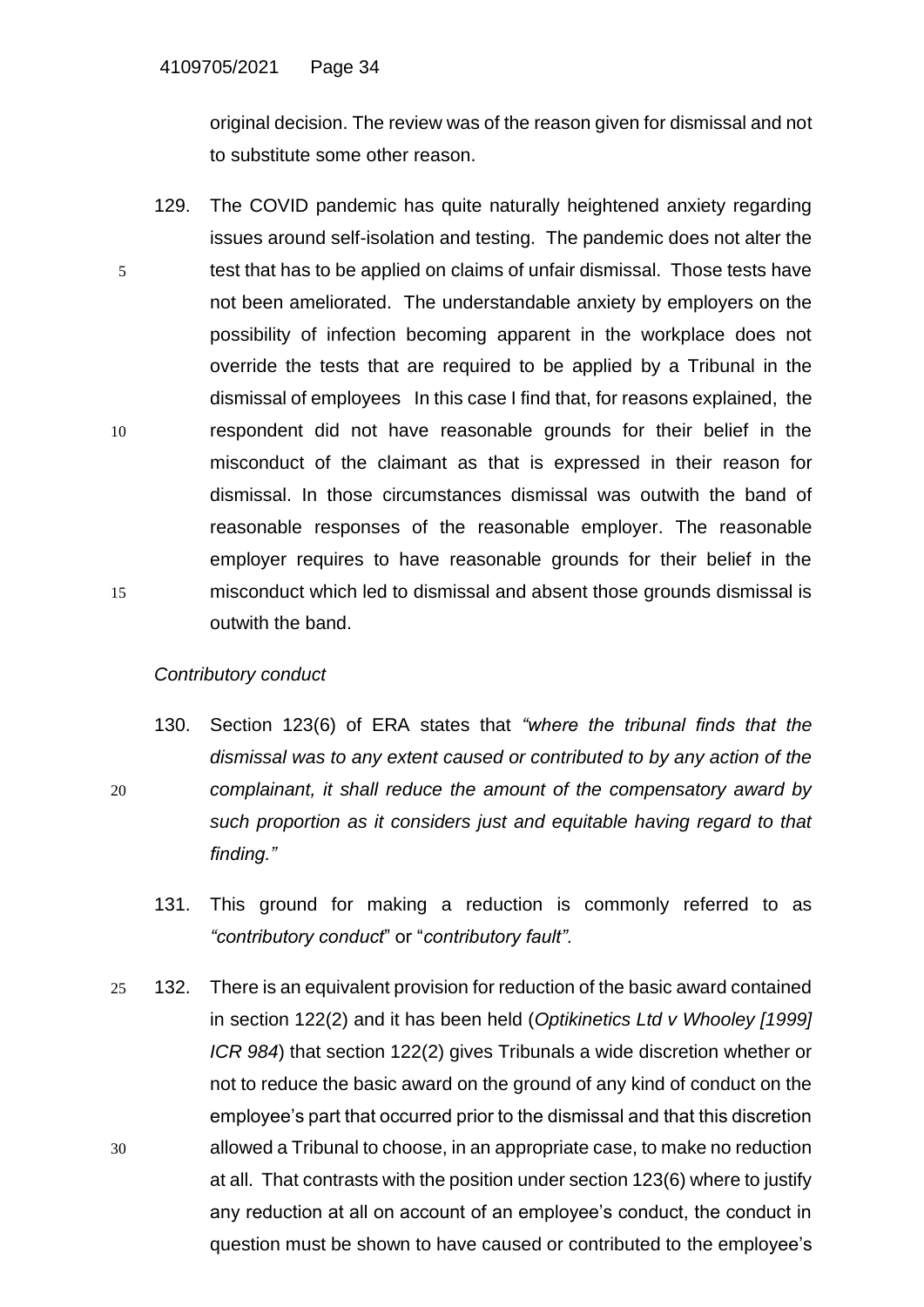original decision. The review was of the reason given for dismissal and not to substitute some other reason.

129. The COVID pandemic has quite naturally heightened anxiety regarding issues around self-isolation and testing. The pandemic does not alter the 5 test that has to be applied on claims of unfair dismissal. Those tests have not been ameliorated. The understandable anxiety by employers on the possibility of infection becoming apparent in the workplace does not override the tests that are required to be applied by a Tribunal in the dismissal of employees In this case I find that, for reasons explained, the 10 respondent did not have reasonable grounds for their belief in the misconduct of the claimant as that is expressed in their reason for dismissal. In those circumstances dismissal was outwith the band of reasonable responses of the reasonable employer. The reasonable employer requires to have reasonable grounds for their belief in the 15 misconduct which led to dismissal and absent those grounds dismissal is outwith the band.

#### *Contributory conduct*

- 130. Section 123(6) of ERA states that *"where the tribunal finds that the dismissal was to any extent caused or contributed to by any action of the*  20 *complainant, it shall reduce the amount of the compensatory award by such proportion as it considers just and equitable having regard to that finding."*
	- 131. This ground for making a reduction is commonly referred to as *"contributory conduct*" or "*contributory fault".*
- 25 132. There is an equivalent provision for reduction of the basic award contained in section 122(2) and it has been held (*Optikinetics Ltd v Whooley [1999] ICR 984*) that section 122(2) gives Tribunals a wide discretion whether or not to reduce the basic award on the ground of any kind of conduct on the employee's part that occurred prior to the dismissal and that this discretion 30 allowed a Tribunal to choose, in an appropriate case, to make no reduction at all. That contrasts with the position under section 123(6) where to justify any reduction at all on account of an employee's conduct, the conduct in question must be shown to have caused or contributed to the employee's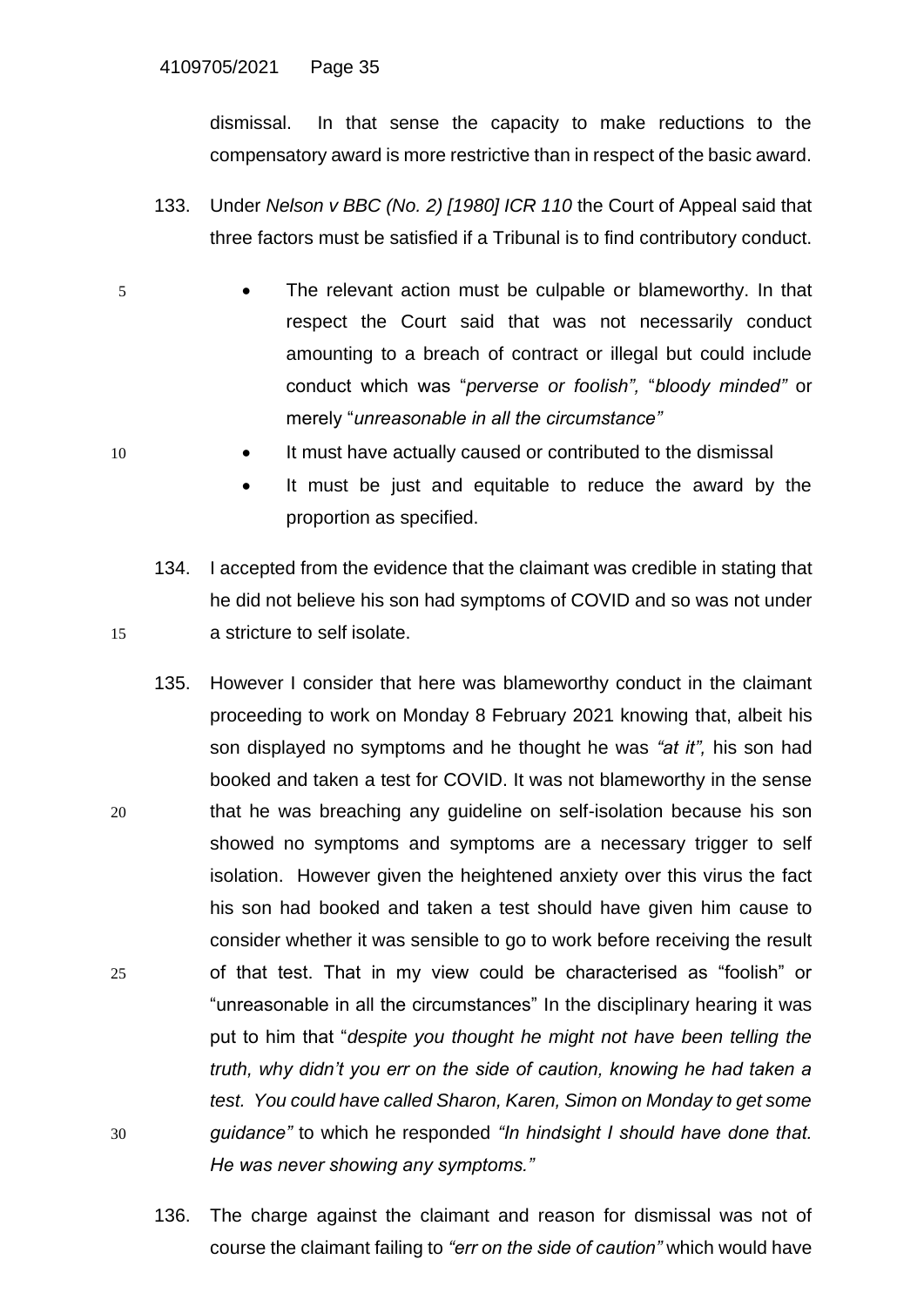dismissal. In that sense the capacity to make reductions to the compensatory award is more restrictive than in respect of the basic award.

- 133. Under *Nelson v BBC (No. 2) [1980] ICR 110* the Court of Appeal said that three factors must be satisfied if a Tribunal is to find contributory conduct.
- 5 The relevant action must be culpable or blameworthy. In that respect the Court said that was not necessarily conduct amounting to a breach of contract or illegal but could include conduct which was "*perverse or foolish",* "*bloody minded"* or merely "*unreasonable in all the circumstance"*
- 10 It must have actually caused or contributed to the dismissal
	- It must be just and equitable to reduce the award by the proportion as specified.
- 134. I accepted from the evidence that the claimant was credible in stating that he did not believe his son had symptoms of COVID and so was not under 15 a stricture to self isolate.
- 135. However I consider that here was blameworthy conduct in the claimant proceeding to work on Monday 8 February 2021 knowing that, albeit his son displayed no symptoms and he thought he was *"at it",* his son had booked and taken a test for COVID. It was not blameworthy in the sense 20 that he was breaching any guideline on self-isolation because his son showed no symptoms and symptoms are a necessary trigger to self isolation. However given the heightened anxiety over this virus the fact his son had booked and taken a test should have given him cause to consider whether it was sensible to go to work before receiving the result 25 of that test. That in my view could be characterised as "foolish" or "unreasonable in all the circumstances" In the disciplinary hearing it was put to him that "*despite you thought he might not have been telling the truth, why didn't you err on the side of caution, knowing he had taken a test. You could have called Sharon, Karen, Simon on Monday to get some*  30 *guidance"* to which he responded *"In hindsight I should have done that. He was never showing any symptoms."*
	- 136. The charge against the claimant and reason for dismissal was not of course the claimant failing to *"err on the side of caution"* which would have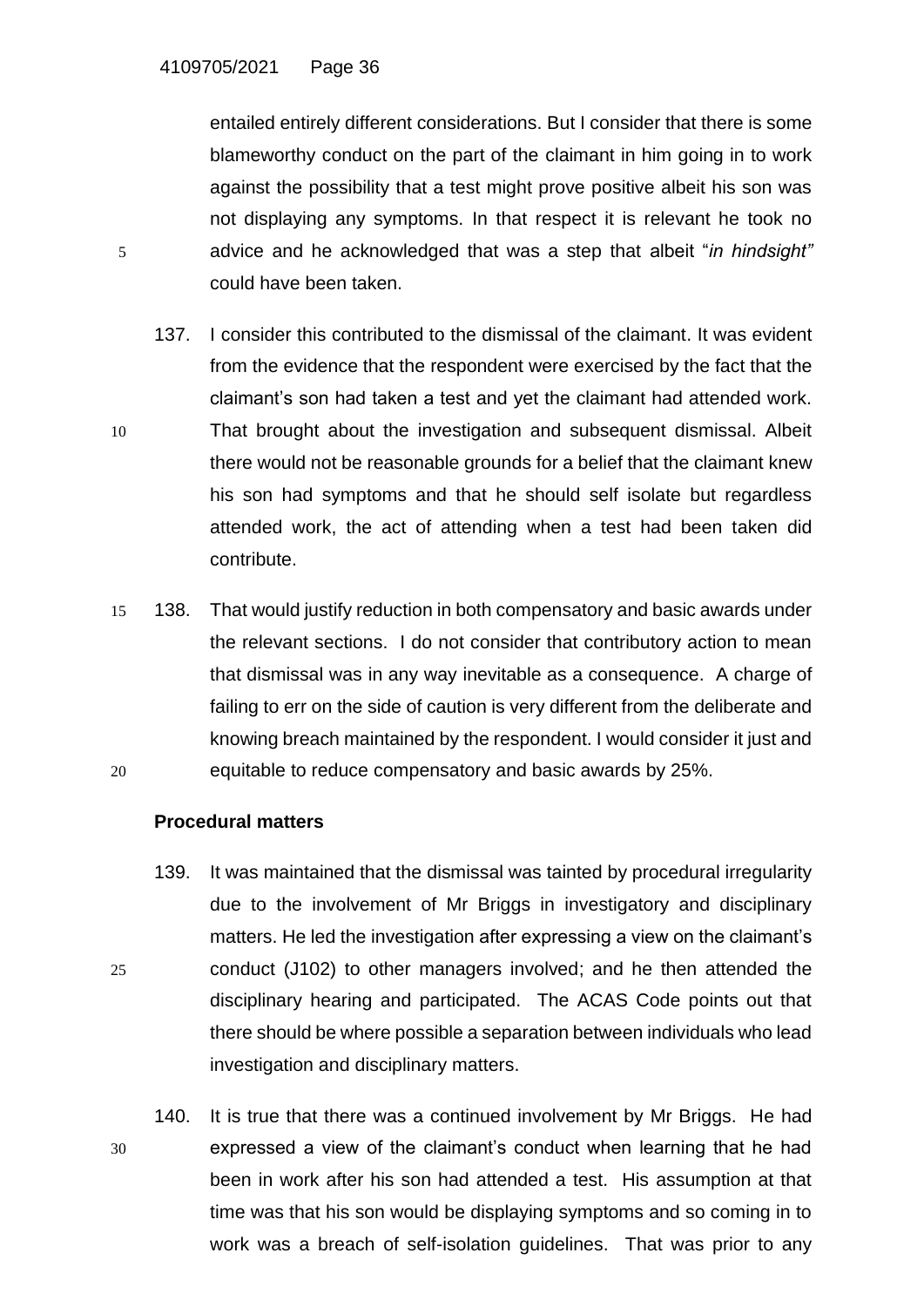entailed entirely different considerations. But I consider that there is some blameworthy conduct on the part of the claimant in him going in to work against the possibility that a test might prove positive albeit his son was not displaying any symptoms. In that respect it is relevant he took no 5 advice and he acknowledged that was a step that albeit "*in hindsight"* could have been taken.

- 137. I consider this contributed to the dismissal of the claimant. It was evident from the evidence that the respondent were exercised by the fact that the claimant's son had taken a test and yet the claimant had attended work. 10 That brought about the investigation and subsequent dismissal. Albeit there would not be reasonable grounds for a belief that the claimant knew his son had symptoms and that he should self isolate but regardless attended work, the act of attending when a test had been taken did contribute.
- 15 138. That would justify reduction in both compensatory and basic awards under the relevant sections. I do not consider that contributory action to mean that dismissal was in any way inevitable as a consequence. A charge of failing to err on the side of caution is very different from the deliberate and knowing breach maintained by the respondent. I would consider it just and 20 equitable to reduce compensatory and basic awards by 25%.

#### **Procedural matters**

- 139. It was maintained that the dismissal was tainted by procedural irregularity due to the involvement of Mr Briggs in investigatory and disciplinary matters. He led the investigation after expressing a view on the claimant's 25 conduct (J102) to other managers involved; and he then attended the disciplinary hearing and participated. The ACAS Code points out that there should be where possible a separation between individuals who lead investigation and disciplinary matters.
- 140. It is true that there was a continued involvement by Mr Briggs. He had 30 expressed a view of the claimant's conduct when learning that he had been in work after his son had attended a test. His assumption at that time was that his son would be displaying symptoms and so coming in to work was a breach of self-isolation guidelines. That was prior to any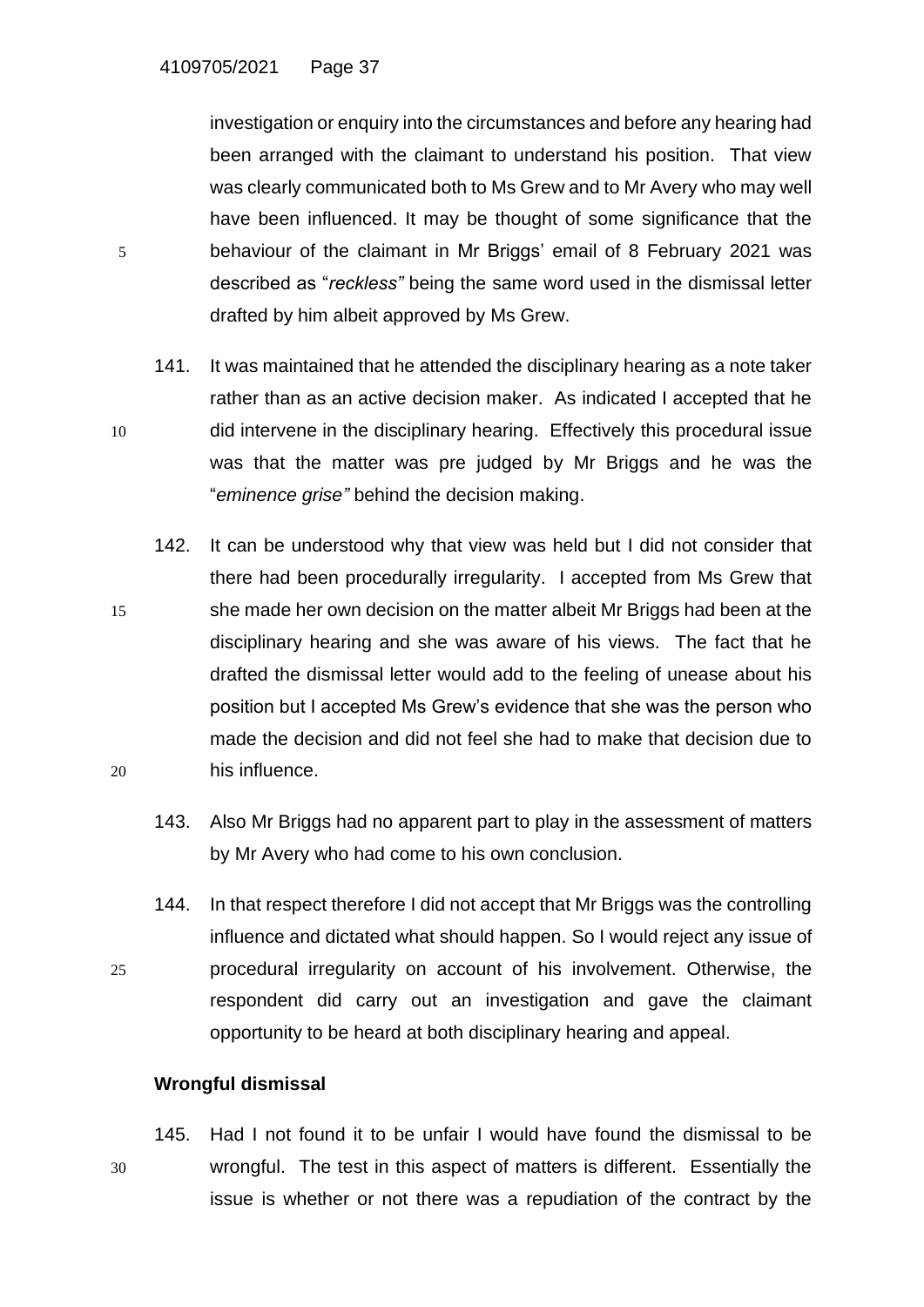investigation or enquiry into the circumstances and before any hearing had been arranged with the claimant to understand his position. That view was clearly communicated both to Ms Grew and to Mr Avery who may well have been influenced. It may be thought of some significance that the 5 behaviour of the claimant in Mr Briggs' email of 8 February 2021 was described as "*reckless"* being the same word used in the dismissal letter drafted by him albeit approved by Ms Grew.

- 141. It was maintained that he attended the disciplinary hearing as a note taker rather than as an active decision maker. As indicated I accepted that he 10 did intervene in the disciplinary hearing. Effectively this procedural issue was that the matter was pre judged by Mr Briggs and he was the "*eminence grise"* behind the decision making.
- 142. It can be understood why that view was held but I did not consider that there had been procedurally irregularity. I accepted from Ms Grew that 15 she made her own decision on the matter albeit Mr Briggs had been at the disciplinary hearing and she was aware of his views. The fact that he drafted the dismissal letter would add to the feeling of unease about his position but I accepted Ms Grew's evidence that she was the person who made the decision and did not feel she had to make that decision due to 20 his influence.
	- 143. Also Mr Briggs had no apparent part to play in the assessment of matters by Mr Avery who had come to his own conclusion.
- 144. In that respect therefore I did not accept that Mr Briggs was the controlling influence and dictated what should happen. So I would reject any issue of 25 procedural irregularity on account of his involvement. Otherwise, the respondent did carry out an investigation and gave the claimant opportunity to be heard at both disciplinary hearing and appeal.

## **Wrongful dismissal**

145. Had I not found it to be unfair I would have found the dismissal to be 30 wrongful. The test in this aspect of matters is different. Essentially the issue is whether or not there was a repudiation of the contract by the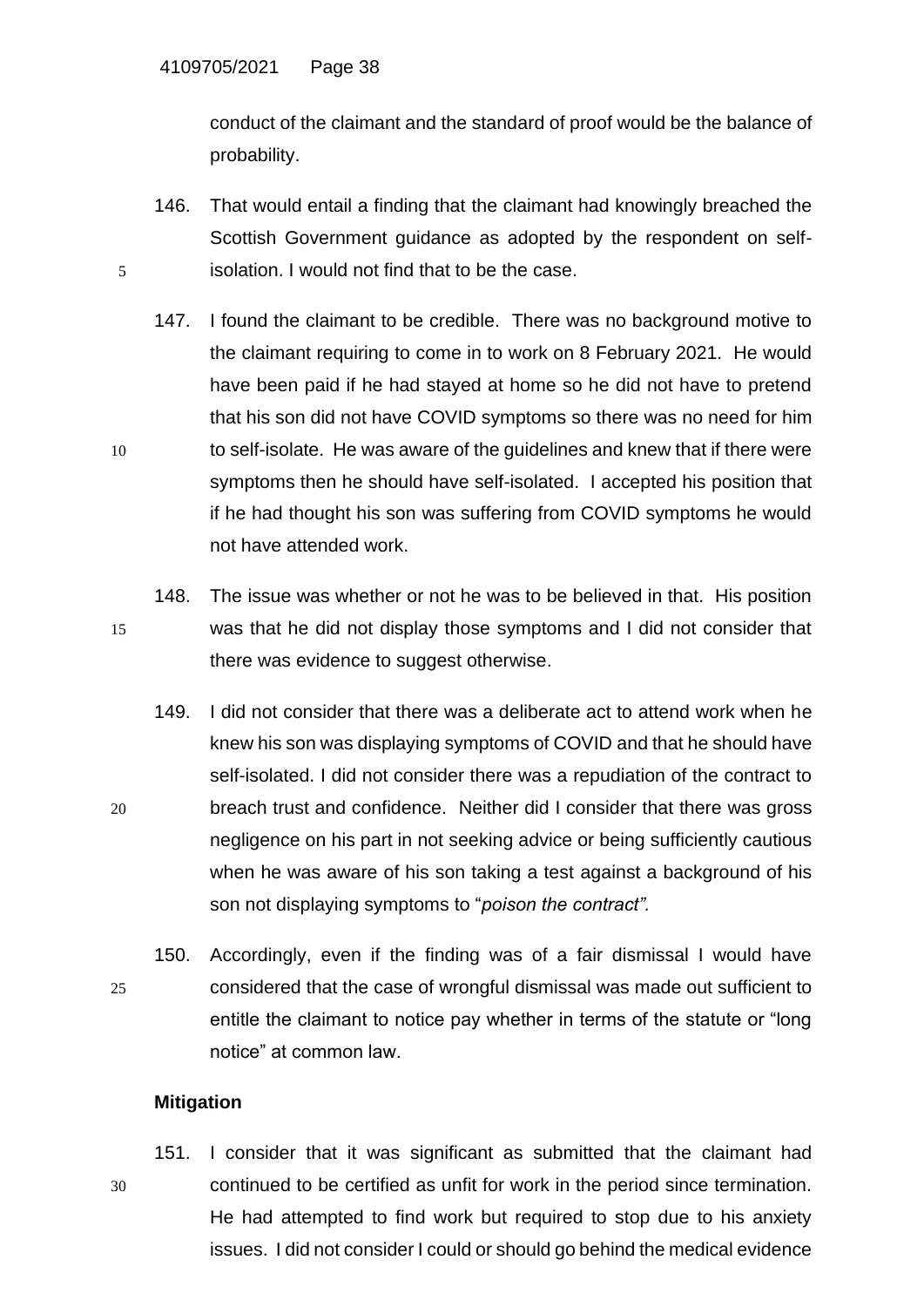conduct of the claimant and the standard of proof would be the balance of probability.

- 146. That would entail a finding that the claimant had knowingly breached the Scottish Government guidance as adopted by the respondent on self-5 isolation. I would not find that to be the case.
- 147. I found the claimant to be credible. There was no background motive to the claimant requiring to come in to work on 8 February 2021. He would have been paid if he had stayed at home so he did not have to pretend that his son did not have COVID symptoms so there was no need for him 10 to self-isolate. He was aware of the guidelines and knew that if there were symptoms then he should have self-isolated. I accepted his position that if he had thought his son was suffering from COVID symptoms he would not have attended work.
- 148. The issue was whether or not he was to be believed in that. His position 15 was that he did not display those symptoms and I did not consider that there was evidence to suggest otherwise.
- 149. I did not consider that there was a deliberate act to attend work when he knew his son was displaying symptoms of COVID and that he should have self-isolated. I did not consider there was a repudiation of the contract to 20 breach trust and confidence. Neither did I consider that there was gross negligence on his part in not seeking advice or being sufficiently cautious when he was aware of his son taking a test against a background of his son not displaying symptoms to "*poison the contract".*
- 150. Accordingly, even if the finding was of a fair dismissal I would have 25 considered that the case of wrongful dismissal was made out sufficient to entitle the claimant to notice pay whether in terms of the statute or "long notice" at common law.

## **Mitigation**

151. I consider that it was significant as submitted that the claimant had 30 continued to be certified as unfit for work in the period since termination. He had attempted to find work but required to stop due to his anxiety issues. I did not consider I could or should go behind the medical evidence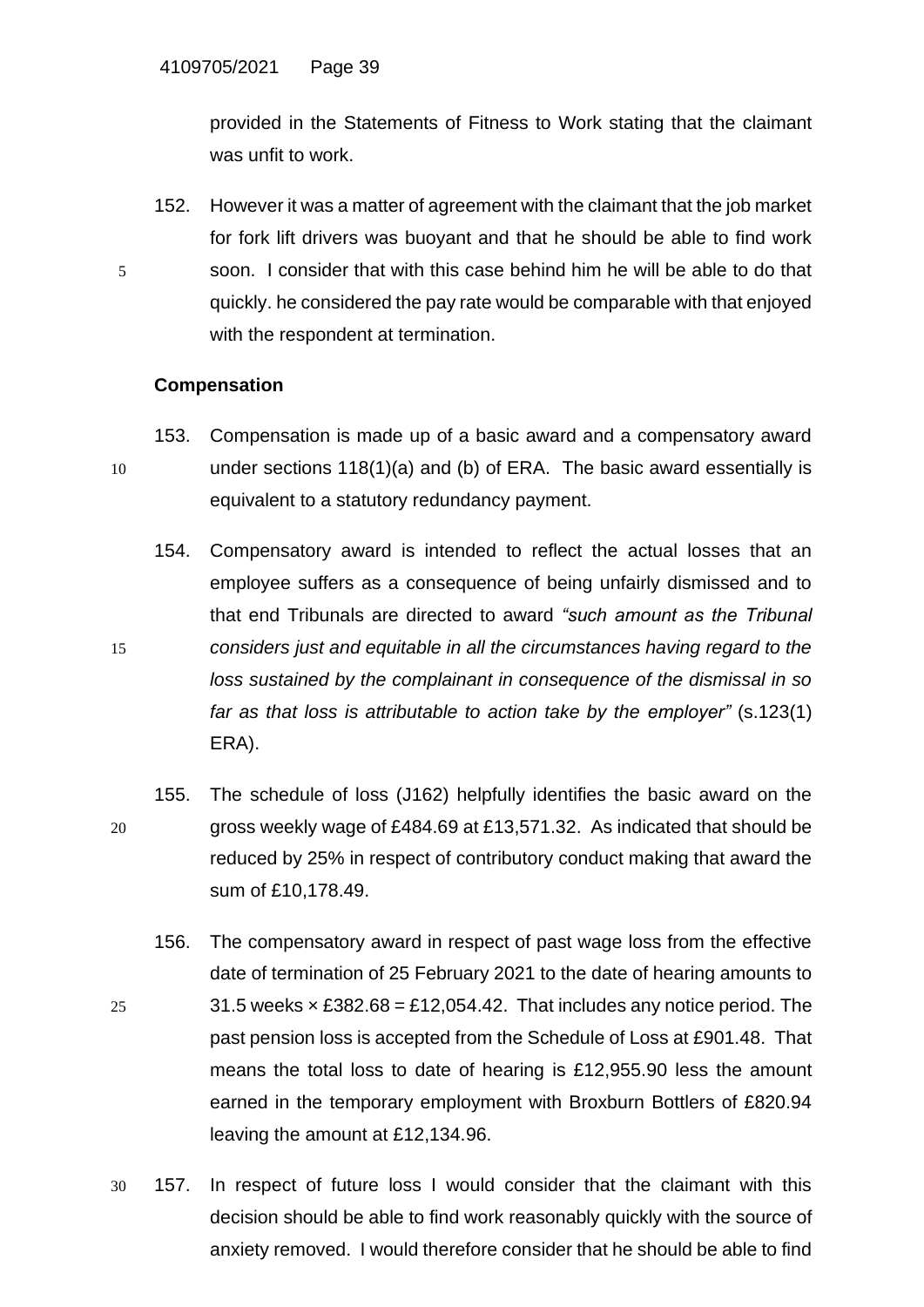provided in the Statements of Fitness to Work stating that the claimant was unfit to work.

152. However it was a matter of agreement with the claimant that the job market for fork lift drivers was buoyant and that he should be able to find work 5 soon. I consider that with this case behind him he will be able to do that quickly. he considered the pay rate would be comparable with that enjoyed with the respondent at termination.

## **Compensation**

- 153. Compensation is made up of a basic award and a compensatory award 10 under sections 118(1)(a) and (b) of ERA. The basic award essentially is equivalent to a statutory redundancy payment.
- 154. Compensatory award is intended to reflect the actual losses that an employee suffers as a consequence of being unfairly dismissed and to that end Tribunals are directed to award *"such amount as the Tribunal*  15 *considers just and equitable in all the circumstances having regard to the loss sustained by the complainant in consequence of the dismissal in so far as that loss is attributable to action take by the employer"* (s.123(1) ERA).
- 155. The schedule of loss (J162) helpfully identifies the basic award on the 20 gross weekly wage of £484.69 at £13,571.32. As indicated that should be reduced by 25% in respect of contributory conduct making that award the sum of £10,178.49.
- 156. The compensatory award in respect of past wage loss from the effective date of termination of 25 February 2021 to the date of hearing amounts to 25 31.5 weeks  $\times$  £382.68 = £12,054.42. That includes any notice period. The past pension loss is accepted from the Schedule of Loss at £901.48. That means the total loss to date of hearing is £12,955.90 less the amount earned in the temporary employment with Broxburn Bottlers of £820.94 leaving the amount at £12,134.96.
- 30 157. In respect of future loss I would consider that the claimant with this decision should be able to find work reasonably quickly with the source of anxiety removed. I would therefore consider that he should be able to find